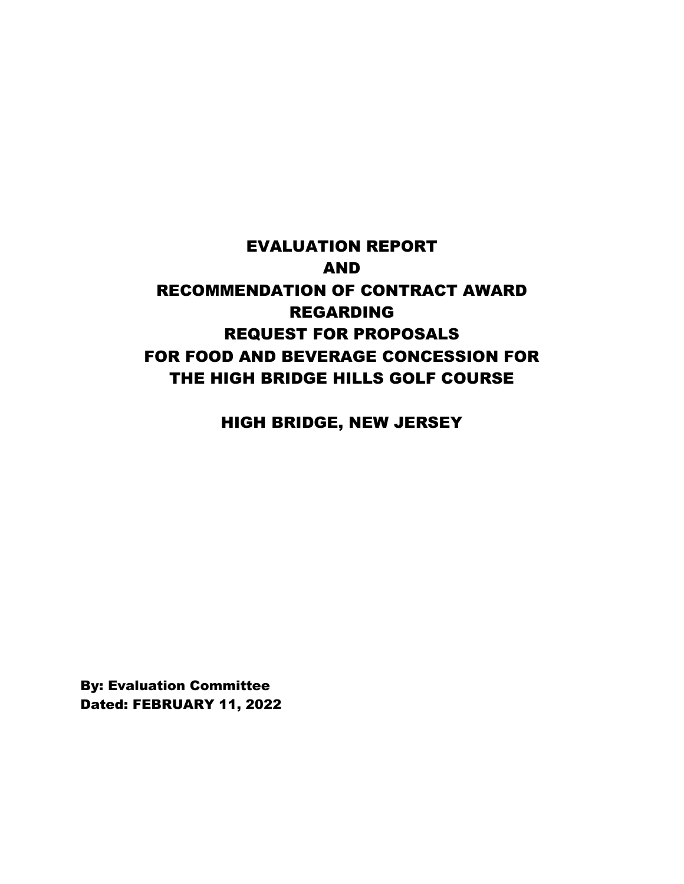# EVALUATION REPORT AND RECOMMENDATION OF CONTRACT AWARD REGARDING REQUEST FOR PROPOSALS FOR FOOD AND BEVERAGE CONCESSION FOR THE HIGH BRIDGE HILLS GOLF COURSE

HIGH BRIDGE, NEW JERSEY

By: Evaluation Committee Dated: FEBRUARY 11, 2022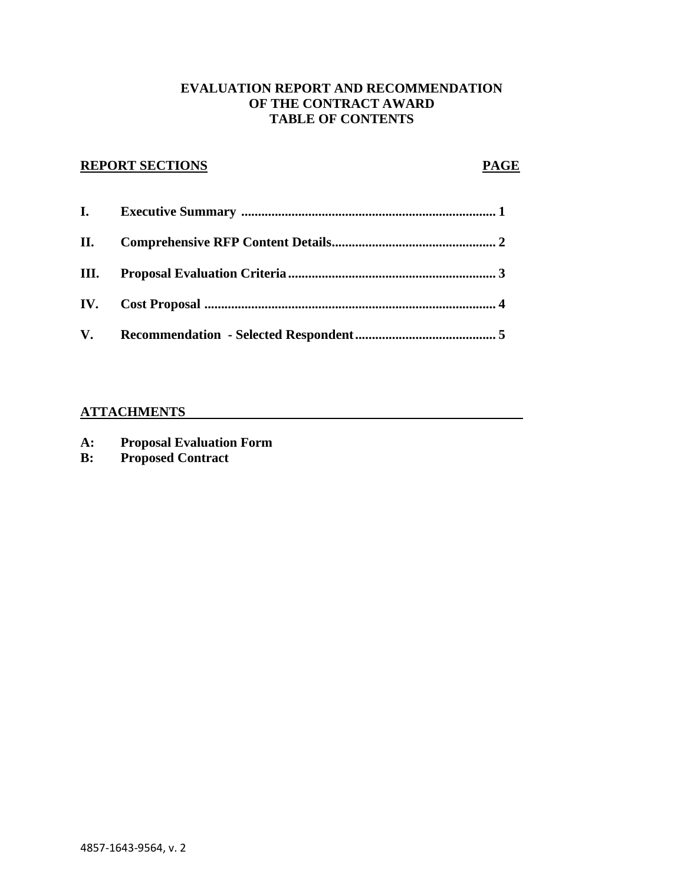### **EVALUATION REPORT AND RECOMMENDATION OF THE CONTRACT AWARD TABLE OF CONTENTS**

# **REPORT SECTIONS PAGE**

| I. |  |
|----|--|
|    |  |
|    |  |
|    |  |
|    |  |

# **ATTACHMENTS**

- **A: Proposal Evaluation Form**
- **B: Proposed Contract**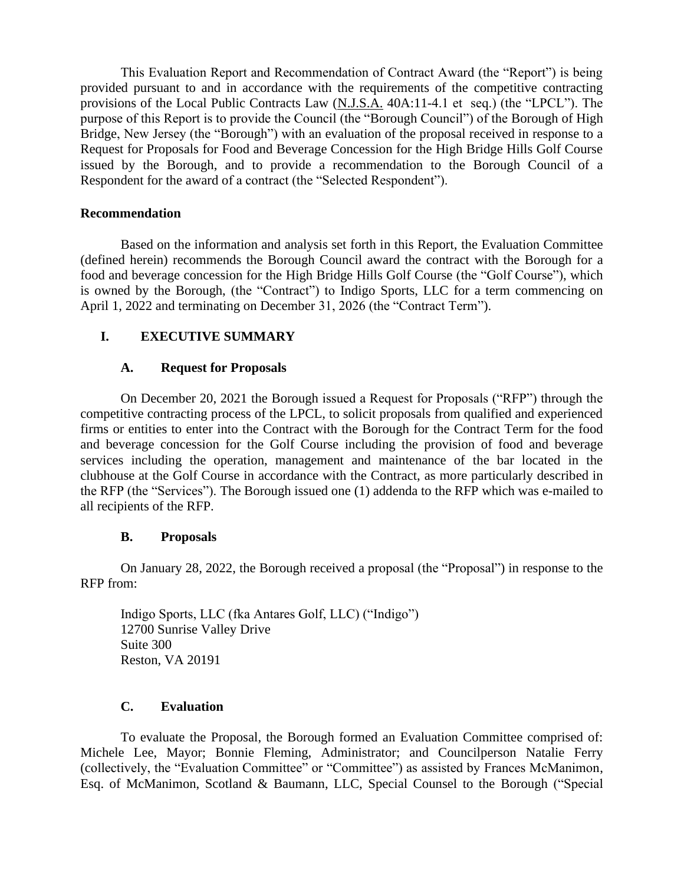This Evaluation Report and Recommendation of Contract Award (the "Report") is being provided pursuant to and in accordance with the requirements of the competitive contracting provisions of the Local Public Contracts Law (N.J.S.A. 40A:11-4.1 et seq.) (the "LPCL"). The purpose of this Report is to provide the Council (the "Borough Council") of the Borough of High Bridge, New Jersey (the "Borough") with an evaluation of the proposal received in response to a Request for Proposals for Food and Beverage Concession for the High Bridge Hills Golf Course issued by the Borough, and to provide a recommendation to the Borough Council of a Respondent for the award of a contract (the "Selected Respondent").

### **Recommendation**

Based on the information and analysis set forth in this Report, the Evaluation Committee (defined herein) recommends the Borough Council award the contract with the Borough for a food and beverage concession for the High Bridge Hills Golf Course (the "Golf Course"), which is owned by the Borough, (the "Contract") to Indigo Sports, LLC for a term commencing on April 1, 2022 and terminating on December 31, 2026 (the "Contract Term").

# **I. EXECUTIVE SUMMARY**

### **A. Request for Proposals**

On December 20, 2021 the Borough issued a Request for Proposals ("RFP") through the competitive contracting process of the LPCL, to solicit proposals from qualified and experienced firms or entities to enter into the Contract with the Borough for the Contract Term for the food and beverage concession for the Golf Course including the provision of food and beverage services including the operation, management and maintenance of the bar located in the clubhouse at the Golf Course in accordance with the Contract, as more particularly described in the RFP (the "Services"). The Borough issued one (1) addenda to the RFP which was e-mailed to all recipients of the RFP.

# **B. Proposals**

On January 28, 2022, the Borough received a proposal (the "Proposal") in response to the RFP from:

Indigo Sports, LLC (fka Antares Golf, LLC) ("Indigo") 12700 Sunrise Valley Drive Suite 300 Reston, VA 20191

# **C. Evaluation**

To evaluate the Proposal, the Borough formed an Evaluation Committee comprised of: Michele Lee, Mayor; Bonnie Fleming, Administrator; and Councilperson Natalie Ferry (collectively, the "Evaluation Committee" or "Committee") as assisted by Frances McManimon, Esq. of McManimon, Scotland & Baumann, LLC, Special Counsel to the Borough ("Special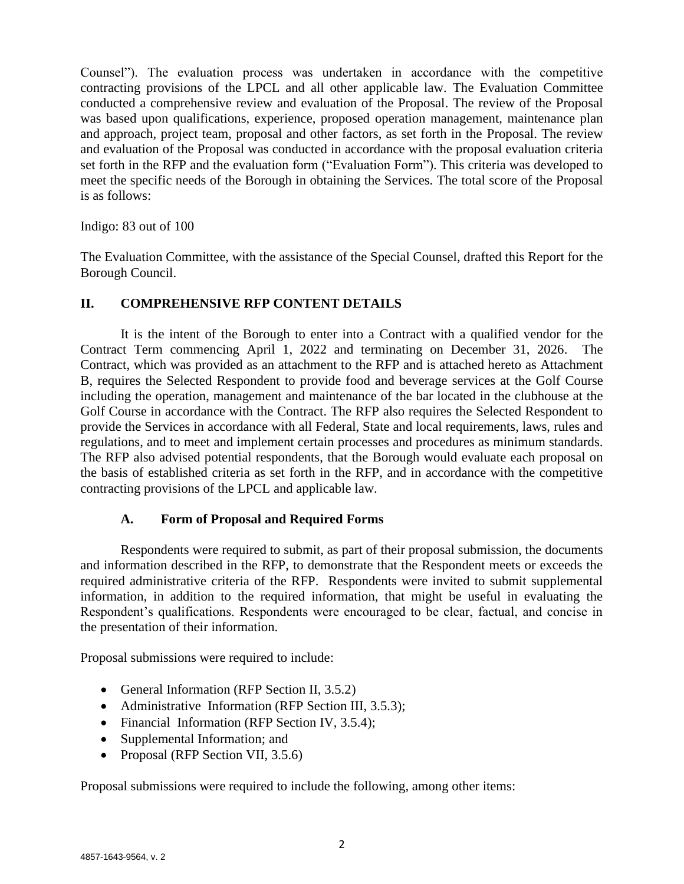Counsel"). The evaluation process was undertaken in accordance with the competitive contracting provisions of the LPCL and all other applicable law. The Evaluation Committee conducted a comprehensive review and evaluation of the Proposal. The review of the Proposal was based upon qualifications, experience, proposed operation management, maintenance plan and approach, project team, proposal and other factors, as set forth in the Proposal. The review and evaluation of the Proposal was conducted in accordance with the proposal evaluation criteria set forth in the RFP and the evaluation form ("Evaluation Form"). This criteria was developed to meet the specific needs of the Borough in obtaining the Services. The total score of the Proposal is as follows:

Indigo: 83 out of 100

The Evaluation Committee, with the assistance of the Special Counsel, drafted this Report for the Borough Council.

# **II. COMPREHENSIVE RFP CONTENT DETAILS**

It is the intent of the Borough to enter into a Contract with a qualified vendor for the Contract Term commencing April 1, 2022 and terminating on December 31, 2026. The Contract, which was provided as an attachment to the RFP and is attached hereto as Attachment B, requires the Selected Respondent to provide food and beverage services at the Golf Course including the operation, management and maintenance of the bar located in the clubhouse at the Golf Course in accordance with the Contract. The RFP also requires the Selected Respondent to provide the Services in accordance with all Federal, State and local requirements, laws, rules and regulations, and to meet and implement certain processes and procedures as minimum standards. The RFP also advised potential respondents, that the Borough would evaluate each proposal on the basis of established criteria as set forth in the RFP, and in accordance with the competitive contracting provisions of the LPCL and applicable law.

### **A. Form of Proposal and Required Forms**

Respondents were required to submit, as part of their proposal submission, the documents and information described in the RFP, to demonstrate that the Respondent meets or exceeds the required administrative criteria of the RFP. Respondents were invited to submit supplemental information, in addition to the required information, that might be useful in evaluating the Respondent's qualifications. Respondents were encouraged to be clear, factual, and concise in the presentation of their information.

Proposal submissions were required to include:

- General Information (RFP Section II, 3.5.2)
- Administrative Information (RFP Section III, 3.5.3);
- Financial Information (RFP Section IV, 3.5.4);
- Supplemental Information; and
- Proposal (RFP Section VII, 3.5.6)

Proposal submissions were required to include the following, among other items: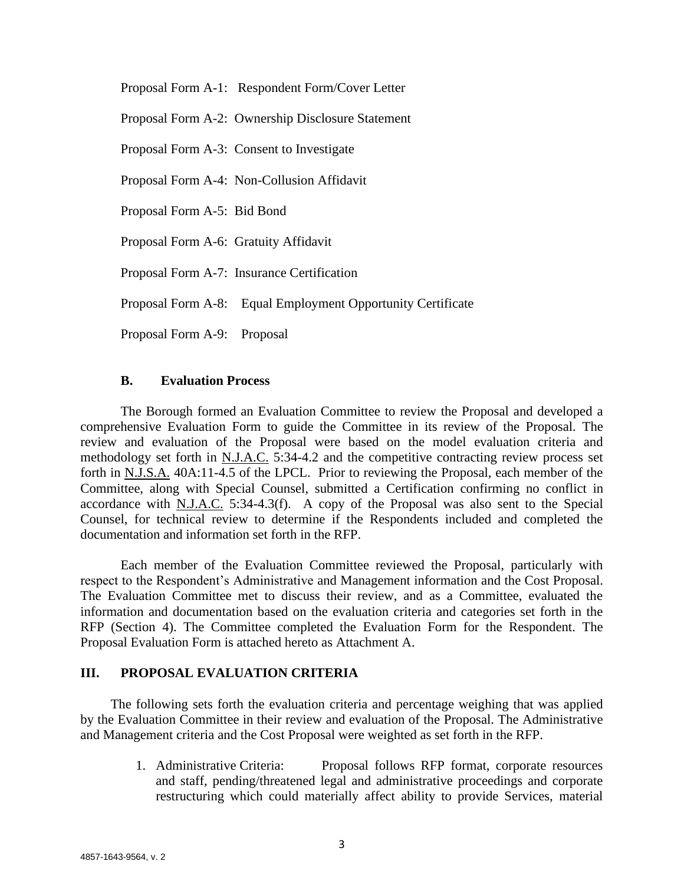Proposal Form A-1: Respondent Form/Cover Letter

Proposal Form A-2: Ownership Disclosure Statement

Proposal Form A-3: Consent to Investigate

Proposal Form A-4: Non-Collusion Affidavit

Proposal Form A-5: Bid Bond

Proposal Form A-6: Gratuity Affidavit

Proposal Form A-7: Insurance Certification

Proposal Form A-8: Equal Employment Opportunity Certificate

Proposal Form A-9: Proposal

#### **B. Evaluation Process**

The Borough formed an Evaluation Committee to review the Proposal and developed a comprehensive Evaluation Form to guide the Committee in its review of the Proposal. The review and evaluation of the Proposal were based on the model evaluation criteria and methodology set forth in N.J.A.C. 5:34-4.2 and the competitive contracting review process set forth in N.J.S.A. 40A:11-4.5 of the LPCL. Prior to reviewing the Proposal, each member of the Committee, along with Special Counsel, submitted a Certification confirming no conflict in accordance with N.J.A.C. 5:34-4.3(f). A copy of the Proposal was also sent to the Special Counsel, for technical review to determine if the Respondents included and completed the documentation and information set forth in the RFP.

Each member of the Evaluation Committee reviewed the Proposal, particularly with respect to the Respondent's Administrative and Management information and the Cost Proposal. The Evaluation Committee met to discuss their review, and as a Committee, evaluated the information and documentation based on the evaluation criteria and categories set forth in the RFP (Section 4). The Committee completed the Evaluation Form for the Respondent. The Proposal Evaluation Form is attached hereto as Attachment A.

### **III. PROPOSAL EVALUATION CRITERIA**

The following sets forth the evaluation criteria and percentage weighing that was applied by the Evaluation Committee in their review and evaluation of the Proposal. The Administrative and Management criteria and the Cost Proposal were weighted as set forth in the RFP.

> 1. Administrative Criteria: Proposal follows RFP format, corporate resources and staff, pending/threatened legal and administrative proceedings and corporate restructuring which could materially affect ability to provide Services, material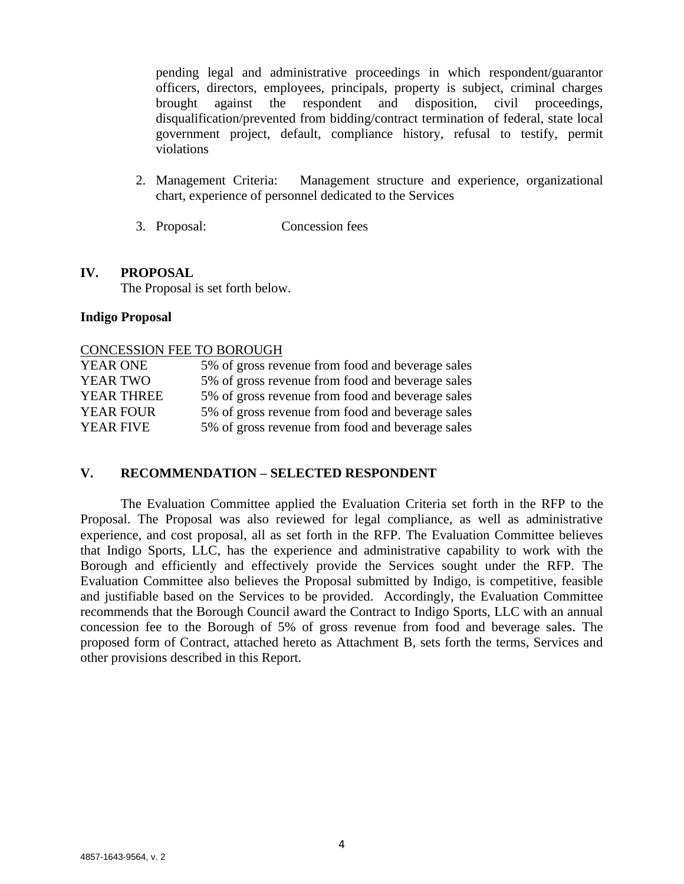pending legal and administrative proceedings in which respondent/guarantor officers, directors, employees, principals, property is subject, criminal charges brought against the respondent and disposition, civil proceedings, disqualification/prevented from bidding/contract termination of federal, state local government project, default, compliance history, refusal to testify, permit violations

- 2. Management Criteria: Management structure and experience, organizational chart, experience of personnel dedicated to the Services
- 3. Proposal: Concession fees

### **IV. PROPOSAL**

The Proposal is set forth below.

#### **Indigo Proposal**

#### CONCESSION FEE TO BOROUGH

| <b>YEAR ONE</b>   | 5% of gross revenue from food and beverage sales |
|-------------------|--------------------------------------------------|
| <b>YEAR TWO</b>   | 5% of gross revenue from food and beverage sales |
| <b>YEAR THREE</b> | 5% of gross revenue from food and beverage sales |
| <b>YEAR FOUR</b>  | 5% of gross revenue from food and beverage sales |
| <b>YEAR FIVE</b>  | 5% of gross revenue from food and beverage sales |

### **V. RECOMMENDATION – SELECTED RESPONDENT**

The Evaluation Committee applied the Evaluation Criteria set forth in the RFP to the Proposal. The Proposal was also reviewed for legal compliance, as well as administrative experience, and cost proposal, all as set forth in the RFP. The Evaluation Committee believes that Indigo Sports, LLC, has the experience and administrative capability to work with the Borough and efficiently and effectively provide the Services sought under the RFP. The Evaluation Committee also believes the Proposal submitted by Indigo, is competitive, feasible and justifiable based on the Services to be provided. Accordingly, the Evaluation Committee recommends that the Borough Council award the Contract to Indigo Sports, LLC with an annual concession fee to the Borough of 5% of gross revenue from food and beverage sales. The proposed form of Contract, attached hereto as Attachment B, sets forth the terms, Services and other provisions described in this Report.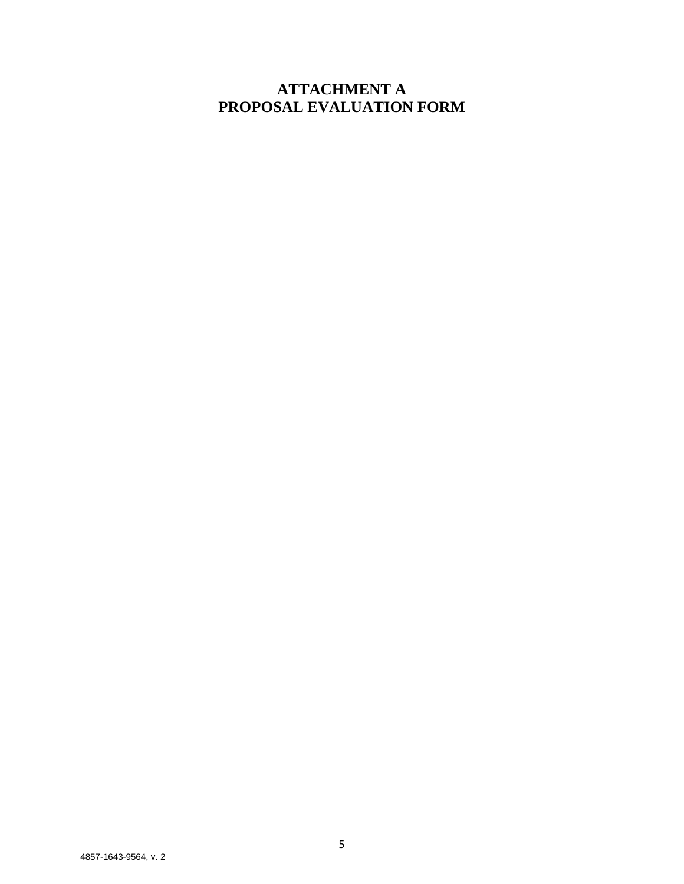# **ATTACHMENT A PROPOSAL EVALUATION FORM**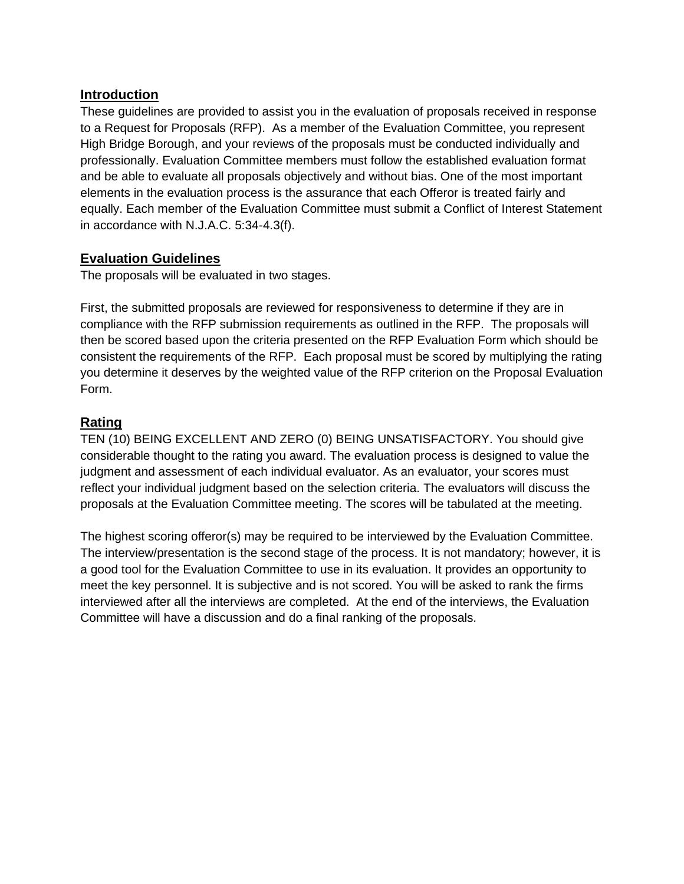# **Introduction**

These guidelines are provided to assist you in the evaluation of proposals received in response to a Request for Proposals (RFP). As a member of the Evaluation Committee, you represent High Bridge Borough, and your reviews of the proposals must be conducted individually and professionally. Evaluation Committee members must follow the established evaluation format and be able to evaluate all proposals objectively and without bias. One of the most important elements in the evaluation process is the assurance that each Offeror is treated fairly and equally. Each member of the Evaluation Committee must submit a Conflict of Interest Statement in accordance with N.J.A.C. 5:34-4.3(f).

# **Evaluation Guidelines**

The proposals will be evaluated in two stages.

First, the submitted proposals are reviewed for responsiveness to determine if they are in compliance with the RFP submission requirements as outlined in the RFP. The proposals will then be scored based upon the criteria presented on the RFP Evaluation Form which should be consistent the requirements of the RFP. Each proposal must be scored by multiplying the rating you determine it deserves by the weighted value of the RFP criterion on the Proposal Evaluation Form.

# **Rating**

TEN (10) BEING EXCELLENT AND ZERO (0) BEING UNSATISFACTORY. You should give considerable thought to the rating you award. The evaluation process is designed to value the judgment and assessment of each individual evaluator. As an evaluator, your scores must reflect your individual judgment based on the selection criteria. The evaluators will discuss the proposals at the Evaluation Committee meeting. The scores will be tabulated at the meeting.

The highest scoring offeror(s) may be required to be interviewed by the Evaluation Committee. The interview/presentation is the second stage of the process. It is not mandatory; however, it is a good tool for the Evaluation Committee to use in its evaluation. It provides an opportunity to meet the key personnel. It is subjective and is not scored. You will be asked to rank the firms interviewed after all the interviews are completed. At the end of the interviews, the Evaluation Committee will have a discussion and do a final ranking of the proposals.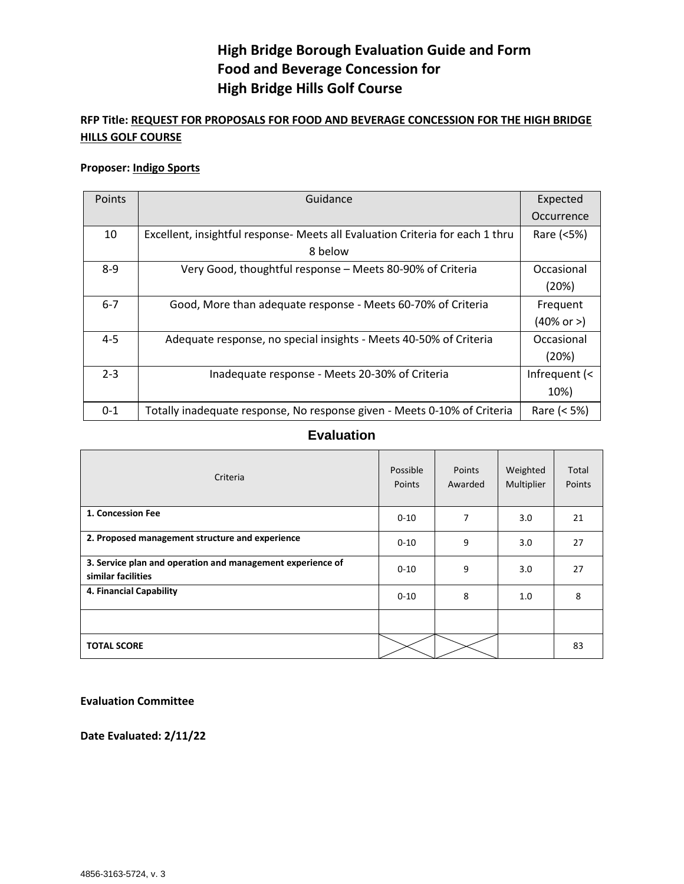# **High Bridge Borough Evaluation Guide and Form Food and Beverage Concession for High Bridge Hills Golf Course**

# **RFP Title: REQUEST FOR PROPOSALS FOR FOOD AND BEVERAGE CONCESSION FOR THE HIGH BRIDGE HILLS GOLF COURSE**

#### **Proposer: Indigo Sports**

| Points  | Guidance                                                                      | Expected      |
|---------|-------------------------------------------------------------------------------|---------------|
|         |                                                                               | Occurrence    |
| 10      | Excellent, insightful response- Meets all Evaluation Criteria for each 1 thru | Rare (<5%)    |
|         | 8 below                                                                       |               |
| $8 - 9$ | Very Good, thoughtful response - Meets 80-90% of Criteria                     | Occasional    |
|         |                                                                               | (20%)         |
| $6 - 7$ | Good, More than adequate response - Meets 60-70% of Criteria                  | Frequent      |
|         |                                                                               | (40% or >)    |
| $4 - 5$ | Adequate response, no special insights - Meets 40-50% of Criteria             |               |
|         |                                                                               | (20%)         |
| $2 - 3$ | Inadequate response - Meets 20-30% of Criteria                                | Infrequent (< |
|         |                                                                               | 10%)          |
| $0 - 1$ | Totally inadequate response, No response given - Meets 0-10% of Criteria      | Rare (< 5%)   |

### **Evaluation**

| Criteria                                                                         | Possible<br><b>Points</b> | Points<br>Awarded | Weighted<br>Multiplier | Total<br>Points |
|----------------------------------------------------------------------------------|---------------------------|-------------------|------------------------|-----------------|
| 1. Concession Fee                                                                | $0 - 10$                  | 7                 | 3.0                    | 21              |
| 2. Proposed management structure and experience                                  | $0 - 10$                  | 9                 | 3.0                    | 27              |
| 3. Service plan and operation and management experience of<br>similar facilities | $0 - 10$                  | 9                 | 3.0                    | 27              |
| 4. Financial Capability                                                          | $0 - 10$                  | 8                 | 1.0                    | 8               |
|                                                                                  |                           |                   |                        |                 |
| <b>TOTAL SCORE</b>                                                               |                           |                   |                        | 83              |

**Evaluation Committee**

**Date Evaluated: 2/11/22**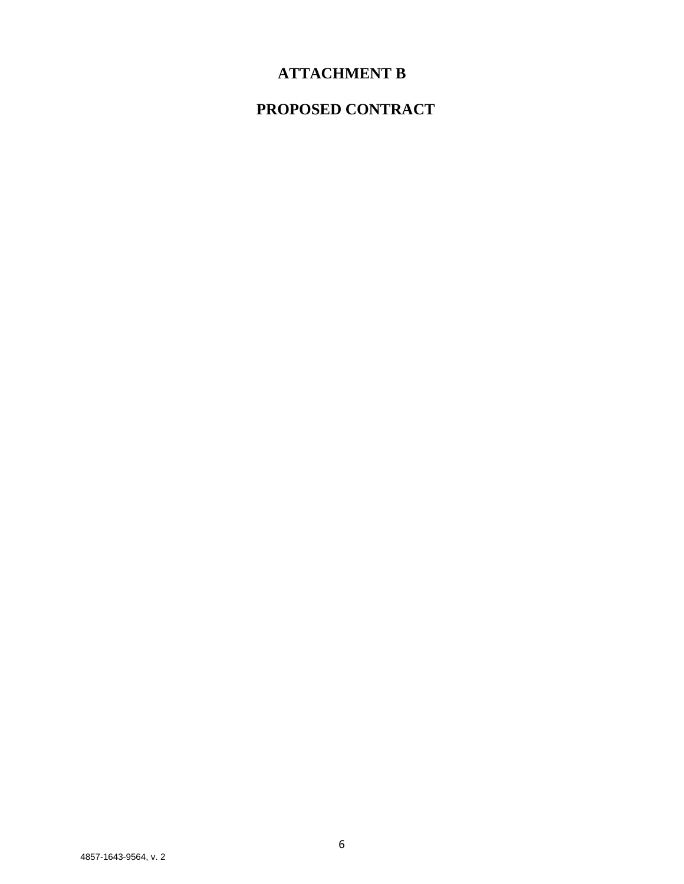# **ATTACHMENT B**

# **PROPOSED CONTRACT**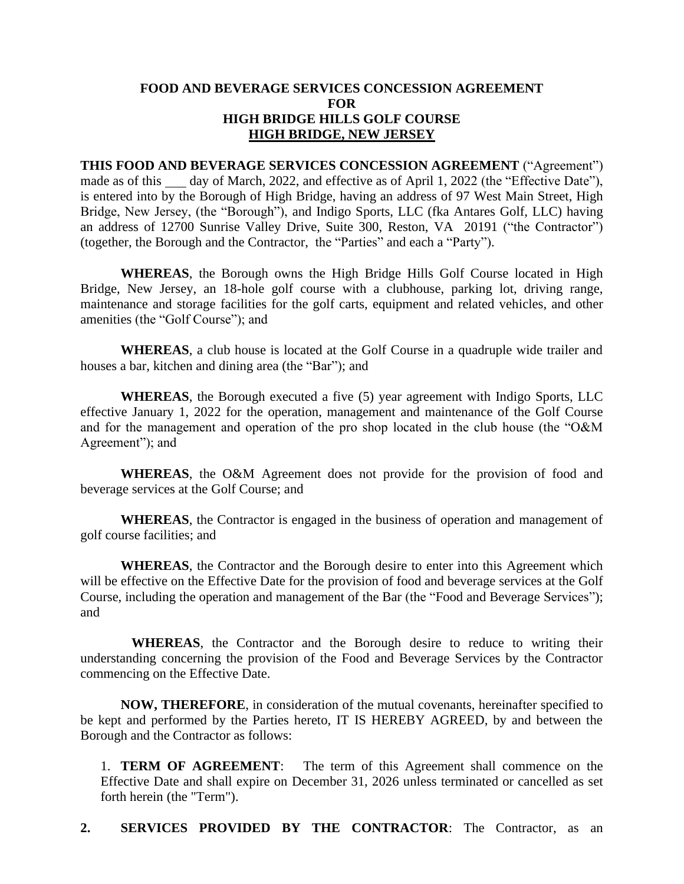### **FOOD AND BEVERAGE SERVICES CONCESSION AGREEMENT FOR HIGH BRIDGE HILLS GOLF COURSE HIGH BRIDGE, NEW JERSEY**

**THIS FOOD AND BEVERAGE SERVICES CONCESSION AGREEMENT** ("Agreement") made as of this day of March, 2022, and effective as of April 1, 2022 (the "Effective Date"), is entered into by the Borough of High Bridge, having an address of 97 West Main Street, High Bridge, New Jersey, (the "Borough"), and Indigo Sports, LLC (fka Antares Golf, LLC) having an address of 12700 Sunrise Valley Drive, Suite 300, Reston, VA 20191 ("the Contractor") (together, the Borough and the Contractor, the "Parties" and each a "Party").

**WHEREAS**, the Borough owns the High Bridge Hills Golf Course located in High Bridge, New Jersey, an 18-hole golf course with a clubhouse, parking lot, driving range, maintenance and storage facilities for the golf carts, equipment and related vehicles, and other amenities (the "Golf Course"); and

**WHEREAS**, a club house is located at the Golf Course in a quadruple wide trailer and houses a bar, kitchen and dining area (the "Bar"); and

**WHEREAS**, the Borough executed a five (5) year agreement with Indigo Sports, LLC effective January 1, 2022 for the operation, management and maintenance of the Golf Course and for the management and operation of the pro shop located in the club house (the "O&M Agreement"); and

**WHEREAS**, the O&M Agreement does not provide for the provision of food and beverage services at the Golf Course; and

**WHEREAS**, the Contractor is engaged in the business of operation and management of golf course facilities; and

**WHEREAS**, the Contractor and the Borough desire to enter into this Agreement which will be effective on the Effective Date for the provision of food and beverage services at the Golf Course, including the operation and management of the Bar (the "Food and Beverage Services"); and

**WHEREAS**, the Contractor and the Borough desire to reduce to writing their understanding concerning the provision of the Food and Beverage Services by the Contractor commencing on the Effective Date.

**NOW, THEREFORE**, in consideration of the mutual covenants, hereinafter specified to be kept and performed by the Parties hereto, IT IS HEREBY AGREED, by and between the Borough and the Contractor as follows:

1. **TERM OF AGREEMENT**: The term of this Agreement shall commence on the Effective Date and shall expire on December 31, 2026 unless terminated or cancelled as set forth herein (the "Term").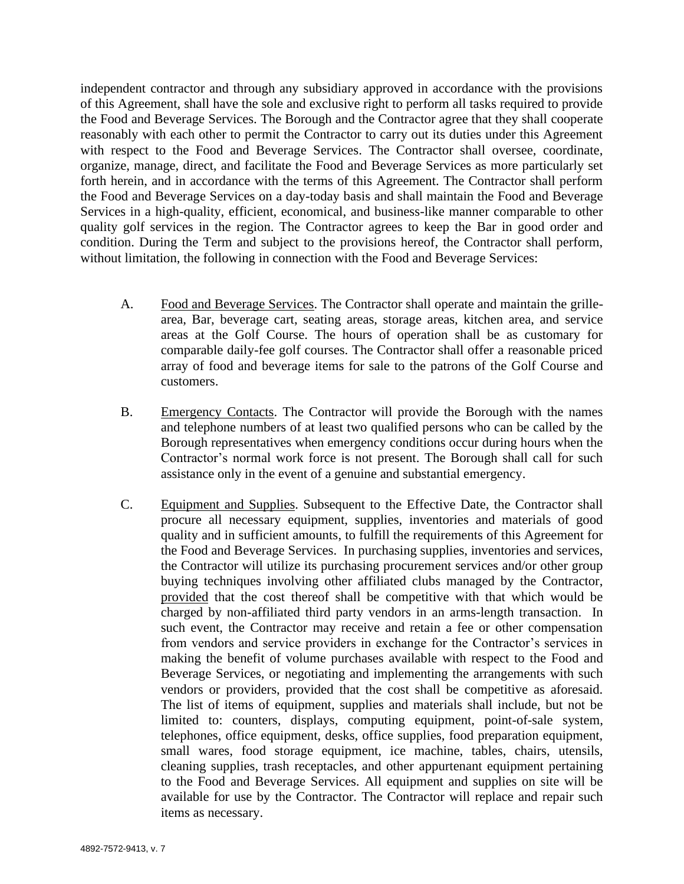independent contractor and through any subsidiary approved in accordance with the provisions of this Agreement, shall have the sole and exclusive right to perform all tasks required to provide the Food and Beverage Services. The Borough and the Contractor agree that they shall cooperate reasonably with each other to permit the Contractor to carry out its duties under this Agreement with respect to the Food and Beverage Services. The Contractor shall oversee, coordinate, organize, manage, direct, and facilitate the Food and Beverage Services as more particularly set forth herein, and in accordance with the terms of this Agreement. The Contractor shall perform the Food and Beverage Services on a day-today basis and shall maintain the Food and Beverage Services in a high-quality, efficient, economical, and business-like manner comparable to other quality golf services in the region. The Contractor agrees to keep the Bar in good order and condition. During the Term and subject to the provisions hereof, the Contractor shall perform, without limitation, the following in connection with the Food and Beverage Services:

- A. Food and Beverage Services. The Contractor shall operate and maintain the grillearea, Bar, beverage cart, seating areas, storage areas, kitchen area, and service areas at the Golf Course. The hours of operation shall be as customary for comparable daily-fee golf courses. The Contractor shall offer a reasonable priced array of food and beverage items for sale to the patrons of the Golf Course and customers.
- B. Emergency Contacts. The Contractor will provide the Borough with the names and telephone numbers of at least two qualified persons who can be called by the Borough representatives when emergency conditions occur during hours when the Contractor's normal work force is not present. The Borough shall call for such assistance only in the event of a genuine and substantial emergency.
- C. Equipment and Supplies. Subsequent to the Effective Date, the Contractor shall procure all necessary equipment, supplies, inventories and materials of good quality and in sufficient amounts, to fulfill the requirements of this Agreement for the Food and Beverage Services. In purchasing supplies, inventories and services, the Contractor will utilize its purchasing procurement services and/or other group buying techniques involving other affiliated clubs managed by the Contractor, provided that the cost thereof shall be competitive with that which would be charged by non-affiliated third party vendors in an arms-length transaction. In such event, the Contractor may receive and retain a fee or other compensation from vendors and service providers in exchange for the Contractor's services in making the benefit of volume purchases available with respect to the Food and Beverage Services, or negotiating and implementing the arrangements with such vendors or providers, provided that the cost shall be competitive as aforesaid. The list of items of equipment, supplies and materials shall include, but not be limited to: counters, displays, computing equipment, point-of-sale system, telephones, office equipment, desks, office supplies, food preparation equipment, small wares, food storage equipment, ice machine, tables, chairs, utensils, cleaning supplies, trash receptacles, and other appurtenant equipment pertaining to the Food and Beverage Services. All equipment and supplies on site will be available for use by the Contractor. The Contractor will replace and repair such items as necessary.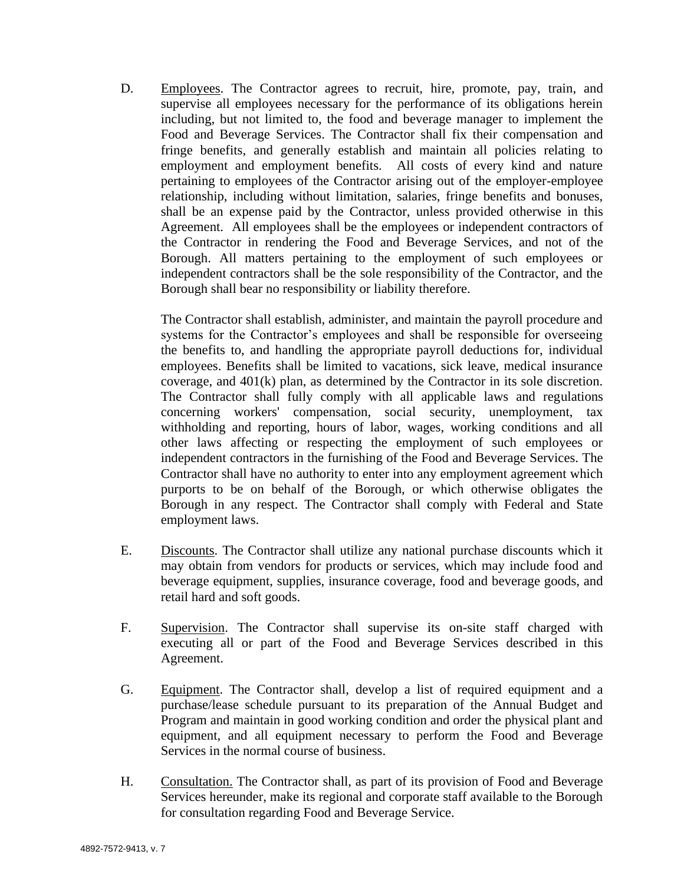D. Employees. The Contractor agrees to recruit, hire, promote, pay, train, and supervise all employees necessary for the performance of its obligations herein including, but not limited to, the food and beverage manager to implement the Food and Beverage Services. The Contractor shall fix their compensation and fringe benefits, and generally establish and maintain all policies relating to employment and employment benefits. All costs of every kind and nature pertaining to employees of the Contractor arising out of the employer-employee relationship, including without limitation, salaries, fringe benefits and bonuses, shall be an expense paid by the Contractor, unless provided otherwise in this Agreement. All employees shall be the employees or independent contractors of the Contractor in rendering the Food and Beverage Services, and not of the Borough. All matters pertaining to the employment of such employees or independent contractors shall be the sole responsibility of the Contractor, and the Borough shall bear no responsibility or liability therefore.

The Contractor shall establish, administer, and maintain the payroll procedure and systems for the Contractor's employees and shall be responsible for overseeing the benefits to, and handling the appropriate payroll deductions for, individual employees. Benefits shall be limited to vacations, sick leave, medical insurance coverage, and 401(k) plan, as determined by the Contractor in its sole discretion. The Contractor shall fully comply with all applicable laws and regulations concerning workers' compensation, social security, unemployment, tax withholding and reporting, hours of labor, wages, working conditions and all other laws affecting or respecting the employment of such employees or independent contractors in the furnishing of the Food and Beverage Services. The Contractor shall have no authority to enter into any employment agreement which purports to be on behalf of the Borough, or which otherwise obligates the Borough in any respect. The Contractor shall comply with Federal and State employment laws.

- E. Discounts. The Contractor shall utilize any national purchase discounts which it may obtain from vendors for products or services, which may include food and beverage equipment, supplies, insurance coverage, food and beverage goods, and retail hard and soft goods.
- F. Supervision. The Contractor shall supervise its on-site staff charged with executing all or part of the Food and Beverage Services described in this Agreement.
- G. Equipment. The Contractor shall, develop a list of required equipment and a purchase/lease schedule pursuant to its preparation of the Annual Budget and Program and maintain in good working condition and order the physical plant and equipment, and all equipment necessary to perform the Food and Beverage Services in the normal course of business.
- H. Consultation. The Contractor shall, as part of its provision of Food and Beverage Services hereunder, make its regional and corporate staff available to the Borough for consultation regarding Food and Beverage Service.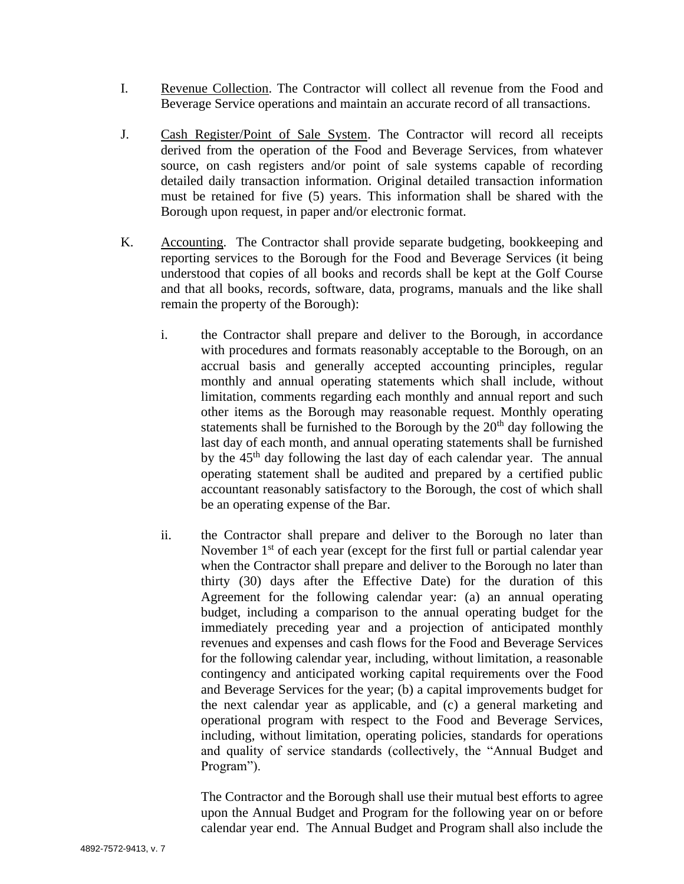- I. Revenue Collection. The Contractor will collect all revenue from the Food and Beverage Service operations and maintain an accurate record of all transactions.
- J. Cash Register/Point of Sale System. The Contractor will record all receipts derived from the operation of the Food and Beverage Services, from whatever source, on cash registers and/or point of sale systems capable of recording detailed daily transaction information. Original detailed transaction information must be retained for five (5) years. This information shall be shared with the Borough upon request, in paper and/or electronic format.
- K. Accounting. The Contractor shall provide separate budgeting, bookkeeping and reporting services to the Borough for the Food and Beverage Services (it being understood that copies of all books and records shall be kept at the Golf Course and that all books, records, software, data, programs, manuals and the like shall remain the property of the Borough):
	- i. the Contractor shall prepare and deliver to the Borough, in accordance with procedures and formats reasonably acceptable to the Borough, on an accrual basis and generally accepted accounting principles, regular monthly and annual operating statements which shall include, without limitation, comments regarding each monthly and annual report and such other items as the Borough may reasonable request. Monthly operating statements shall be furnished to the Borough by the  $20<sup>th</sup>$  day following the last day of each month, and annual operating statements shall be furnished by the 45th day following the last day of each calendar year. The annual operating statement shall be audited and prepared by a certified public accountant reasonably satisfactory to the Borough, the cost of which shall be an operating expense of the Bar.
	- ii. the Contractor shall prepare and deliver to the Borough no later than November  $1<sup>st</sup>$  of each year (except for the first full or partial calendar year when the Contractor shall prepare and deliver to the Borough no later than thirty (30) days after the Effective Date) for the duration of this Agreement for the following calendar year: (a) an annual operating budget, including a comparison to the annual operating budget for the immediately preceding year and a projection of anticipated monthly revenues and expenses and cash flows for the Food and Beverage Services for the following calendar year, including, without limitation, a reasonable contingency and anticipated working capital requirements over the Food and Beverage Services for the year; (b) a capital improvements budget for the next calendar year as applicable, and (c) a general marketing and operational program with respect to the Food and Beverage Services, including, without limitation, operating policies, standards for operations and quality of service standards (collectively, the "Annual Budget and Program").

The Contractor and the Borough shall use their mutual best efforts to agree upon the Annual Budget and Program for the following year on or before calendar year end. The Annual Budget and Program shall also include the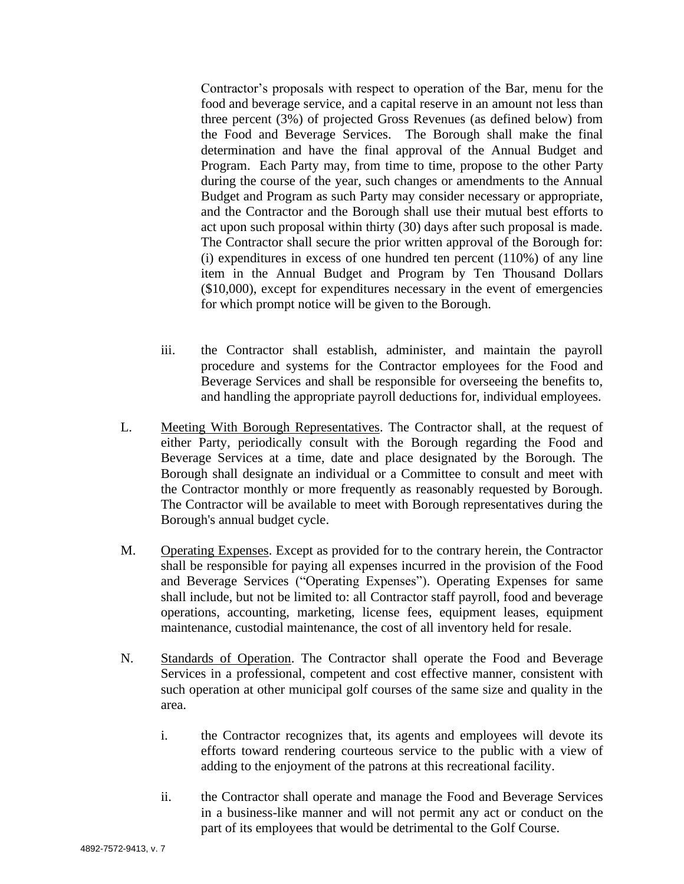Contractor's proposals with respect to operation of the Bar, menu for the food and beverage service, and a capital reserve in an amount not less than three percent (3%) of projected Gross Revenues (as defined below) from the Food and Beverage Services. The Borough shall make the final determination and have the final approval of the Annual Budget and Program. Each Party may, from time to time, propose to the other Party during the course of the year, such changes or amendments to the Annual Budget and Program as such Party may consider necessary or appropriate, and the Contractor and the Borough shall use their mutual best efforts to act upon such proposal within thirty (30) days after such proposal is made. The Contractor shall secure the prior written approval of the Borough for:  $(i)$  expenditures in excess of one hundred ten percent  $(110%)$  of any line item in the Annual Budget and Program by Ten Thousand Dollars (\$10,000), except for expenditures necessary in the event of emergencies for which prompt notice will be given to the Borough.

- iii. the Contractor shall establish, administer, and maintain the payroll procedure and systems for the Contractor employees for the Food and Beverage Services and shall be responsible for overseeing the benefits to, and handling the appropriate payroll deductions for, individual employees.
- L. Meeting With Borough Representatives. The Contractor shall, at the request of either Party, periodically consult with the Borough regarding the Food and Beverage Services at a time, date and place designated by the Borough. The Borough shall designate an individual or a Committee to consult and meet with the Contractor monthly or more frequently as reasonably requested by Borough. The Contractor will be available to meet with Borough representatives during the Borough's annual budget cycle.
- M. Operating Expenses. Except as provided for to the contrary herein, the Contractor shall be responsible for paying all expenses incurred in the provision of the Food and Beverage Services ("Operating Expenses"). Operating Expenses for same shall include, but not be limited to: all Contractor staff payroll, food and beverage operations, accounting, marketing, license fees, equipment leases, equipment maintenance, custodial maintenance, the cost of all inventory held for resale.
- N. Standards of Operation. The Contractor shall operate the Food and Beverage Services in a professional, competent and cost effective manner, consistent with such operation at other municipal golf courses of the same size and quality in the area.
	- i. the Contractor recognizes that, its agents and employees will devote its efforts toward rendering courteous service to the public with a view of adding to the enjoyment of the patrons at this recreational facility.
	- ii. the Contractor shall operate and manage the Food and Beverage Services in a business-like manner and will not permit any act or conduct on the part of its employees that would be detrimental to the Golf Course.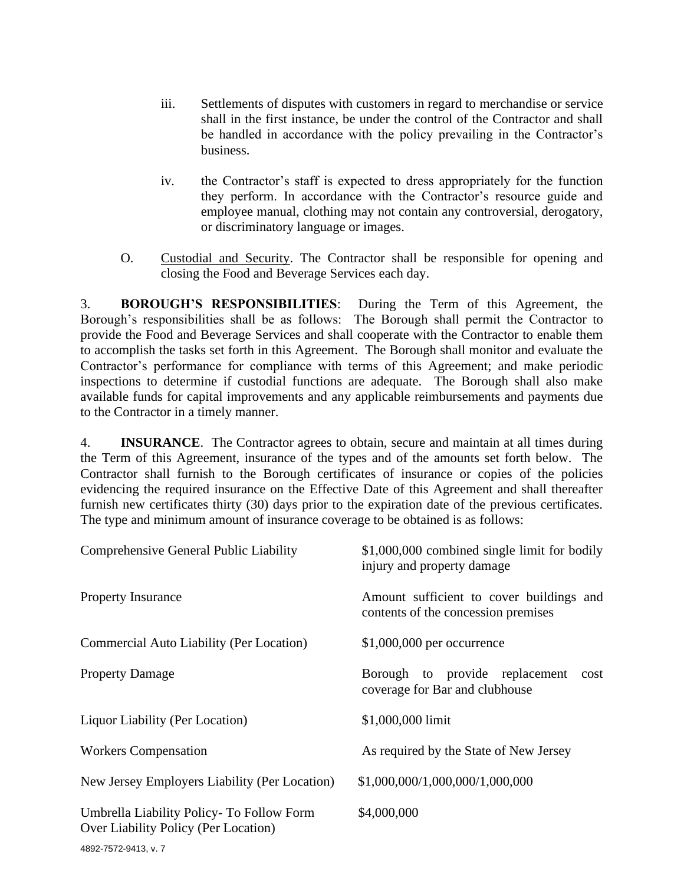- iii. Settlements of disputes with customers in regard to merchandise or service shall in the first instance, be under the control of the Contractor and shall be handled in accordance with the policy prevailing in the Contractor's business.
- iv. the Contractor's staff is expected to dress appropriately for the function they perform. In accordance with the Contractor's resource guide and employee manual, clothing may not contain any controversial, derogatory, or discriminatory language or images.
- O. Custodial and Security. The Contractor shall be responsible for opening and closing the Food and Beverage Services each day.

3. **BOROUGH'S RESPONSIBILITIES**: During the Term of this Agreement, the Borough's responsibilities shall be as follows: The Borough shall permit the Contractor to provide the Food and Beverage Services and shall cooperate with the Contractor to enable them to accomplish the tasks set forth in this Agreement. The Borough shall monitor and evaluate the Contractor's performance for compliance with terms of this Agreement; and make periodic inspections to determine if custodial functions are adequate. The Borough shall also make available funds for capital improvements and any applicable reimbursements and payments due to the Contractor in a timely manner.

4. **INSURANCE**. The Contractor agrees to obtain, secure and maintain at all times during the Term of this Agreement, insurance of the types and of the amounts set forth below. The Contractor shall furnish to the Borough certificates of insurance or copies of the policies evidencing the required insurance on the Effective Date of this Agreement and shall thereafter furnish new certificates thirty (30) days prior to the expiration date of the previous certificates. The type and minimum amount of insurance coverage to be obtained is as follows:

| Comprehensive General Public Liability                                            | \$1,000,000 combined single limit for bodily<br>injury and property damage      |  |  |  |
|-----------------------------------------------------------------------------------|---------------------------------------------------------------------------------|--|--|--|
| <b>Property Insurance</b>                                                         | Amount sufficient to cover buildings and<br>contents of the concession premises |  |  |  |
| Commercial Auto Liability (Per Location)                                          | $$1,000,000$ per occurrence                                                     |  |  |  |
| <b>Property Damage</b>                                                            | Borough to provide replacement<br>cost<br>coverage for Bar and clubhouse        |  |  |  |
| Liquor Liability (Per Location)                                                   | \$1,000,000 limit                                                               |  |  |  |
| <b>Workers Compensation</b>                                                       | As required by the State of New Jersey                                          |  |  |  |
| New Jersey Employers Liability (Per Location)                                     | \$1,000,000/1,000,000/1,000,000                                                 |  |  |  |
| Umbrella Liability Policy- To Follow Form<br>Over Liability Policy (Per Location) | \$4,000,000                                                                     |  |  |  |
| 1000777001107                                                                     |                                                                                 |  |  |  |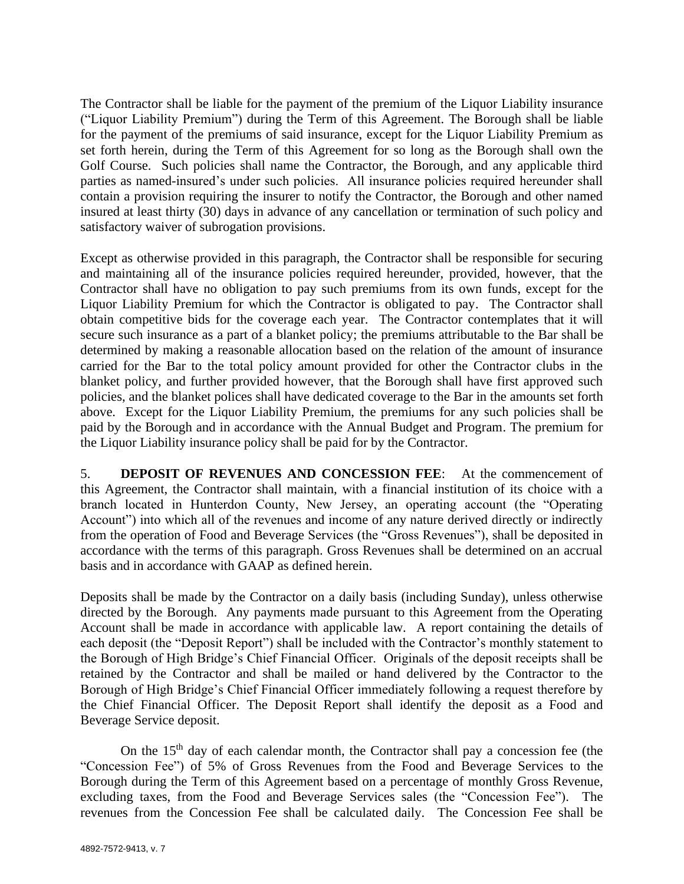The Contractor shall be liable for the payment of the premium of the Liquor Liability insurance ("Liquor Liability Premium") during the Term of this Agreement. The Borough shall be liable for the payment of the premiums of said insurance, except for the Liquor Liability Premium as set forth herein, during the Term of this Agreement for so long as the Borough shall own the Golf Course. Such policies shall name the Contractor, the Borough, and any applicable third parties as named-insured's under such policies. All insurance policies required hereunder shall contain a provision requiring the insurer to notify the Contractor, the Borough and other named insured at least thirty (30) days in advance of any cancellation or termination of such policy and satisfactory waiver of subrogation provisions.

Except as otherwise provided in this paragraph, the Contractor shall be responsible for securing and maintaining all of the insurance policies required hereunder, provided, however, that the Contractor shall have no obligation to pay such premiums from its own funds, except for the Liquor Liability Premium for which the Contractor is obligated to pay. The Contractor shall obtain competitive bids for the coverage each year. The Contractor contemplates that it will secure such insurance as a part of a blanket policy; the premiums attributable to the Bar shall be determined by making a reasonable allocation based on the relation of the amount of insurance carried for the Bar to the total policy amount provided for other the Contractor clubs in the blanket policy, and further provided however, that the Borough shall have first approved such policies, and the blanket polices shall have dedicated coverage to the Bar in the amounts set forth above. Except for the Liquor Liability Premium, the premiums for any such policies shall be paid by the Borough and in accordance with the Annual Budget and Program. The premium for the Liquor Liability insurance policy shall be paid for by the Contractor.

5. **DEPOSIT OF REVENUES AND CONCESSION FEE**: At the commencement of this Agreement, the Contractor shall maintain, with a financial institution of its choice with a branch located in Hunterdon County, New Jersey, an operating account (the "Operating Account") into which all of the revenues and income of any nature derived directly or indirectly from the operation of Food and Beverage Services (the "Gross Revenues"), shall be deposited in accordance with the terms of this paragraph. Gross Revenues shall be determined on an accrual basis and in accordance with GAAP as defined herein.

Deposits shall be made by the Contractor on a daily basis (including Sunday), unless otherwise directed by the Borough. Any payments made pursuant to this Agreement from the Operating Account shall be made in accordance with applicable law. A report containing the details of each deposit (the "Deposit Report") shall be included with the Contractor's monthly statement to the Borough of High Bridge's Chief Financial Officer. Originals of the deposit receipts shall be retained by the Contractor and shall be mailed or hand delivered by the Contractor to the Borough of High Bridge's Chief Financial Officer immediately following a request therefore by the Chief Financial Officer. The Deposit Report shall identify the deposit as a Food and Beverage Service deposit.

On the  $15<sup>th</sup>$  day of each calendar month, the Contractor shall pay a concession fee (the "Concession Fee") of 5% of Gross Revenues from the Food and Beverage Services to the Borough during the Term of this Agreement based on a percentage of monthly Gross Revenue, excluding taxes, from the Food and Beverage Services sales (the "Concession Fee"). The revenues from the Concession Fee shall be calculated daily. The Concession Fee shall be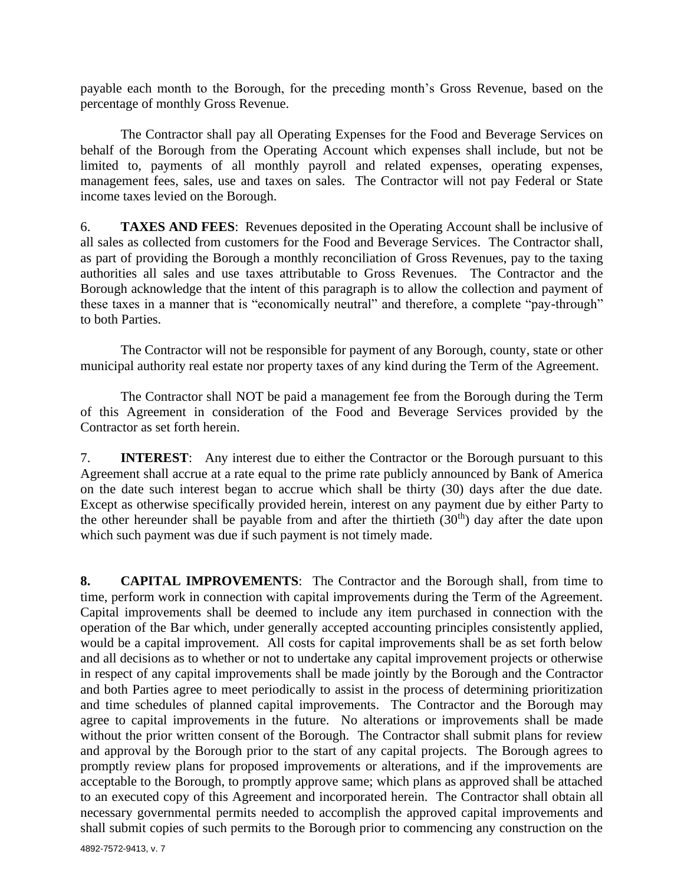payable each month to the Borough, for the preceding month's Gross Revenue, based on the percentage of monthly Gross Revenue.

The Contractor shall pay all Operating Expenses for the Food and Beverage Services on behalf of the Borough from the Operating Account which expenses shall include, but not be limited to, payments of all monthly payroll and related expenses, operating expenses, management fees, sales, use and taxes on sales. The Contractor will not pay Federal or State income taxes levied on the Borough.

6. **TAXES AND FEES**: Revenues deposited in the Operating Account shall be inclusive of all sales as collected from customers for the Food and Beverage Services. The Contractor shall, as part of providing the Borough a monthly reconciliation of Gross Revenues, pay to the taxing authorities all sales and use taxes attributable to Gross Revenues. The Contractor and the Borough acknowledge that the intent of this paragraph is to allow the collection and payment of these taxes in a manner that is "economically neutral" and therefore, a complete "pay-through" to both Parties.

The Contractor will not be responsible for payment of any Borough, county, state or other municipal authority real estate nor property taxes of any kind during the Term of the Agreement.

The Contractor shall NOT be paid a management fee from the Borough during the Term of this Agreement in consideration of the Food and Beverage Services provided by the Contractor as set forth herein.

7. **INTEREST**: Any interest due to either the Contractor or the Borough pursuant to this Agreement shall accrue at a rate equal to the prime rate publicly announced by Bank of America on the date such interest began to accrue which shall be thirty (30) days after the due date. Except as otherwise specifically provided herein, interest on any payment due by either Party to the other hereunder shall be payable from and after the thirtieth  $(30<sup>th</sup>)$  day after the date upon which such payment was due if such payment is not timely made.

**8. CAPITAL IMPROVEMENTS**: The Contractor and the Borough shall, from time to time, perform work in connection with capital improvements during the Term of the Agreement. Capital improvements shall be deemed to include any item purchased in connection with the operation of the Bar which, under generally accepted accounting principles consistently applied, would be a capital improvement. All costs for capital improvements shall be as set forth below and all decisions as to whether or not to undertake any capital improvement projects or otherwise in respect of any capital improvements shall be made jointly by the Borough and the Contractor and both Parties agree to meet periodically to assist in the process of determining prioritization and time schedules of planned capital improvements. The Contractor and the Borough may agree to capital improvements in the future. No alterations or improvements shall be made without the prior written consent of the Borough. The Contractor shall submit plans for review and approval by the Borough prior to the start of any capital projects. The Borough agrees to promptly review plans for proposed improvements or alterations, and if the improvements are acceptable to the Borough, to promptly approve same; which plans as approved shall be attached to an executed copy of this Agreement and incorporated herein. The Contractor shall obtain all necessary governmental permits needed to accomplish the approved capital improvements and shall submit copies of such permits to the Borough prior to commencing any construction on the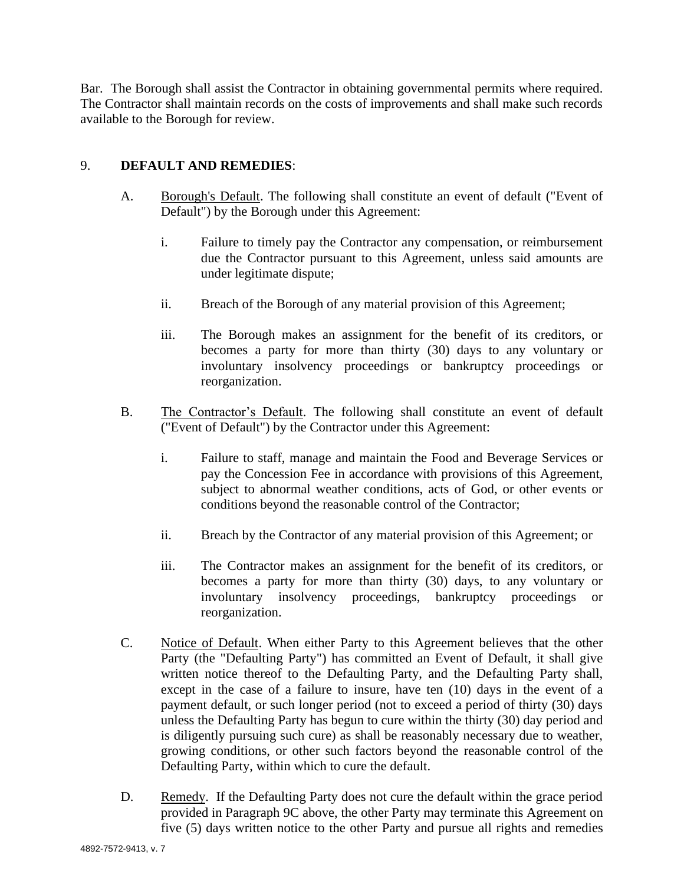Bar. The Borough shall assist the Contractor in obtaining governmental permits where required. The Contractor shall maintain records on the costs of improvements and shall make such records available to the Borough for review.

### 9. **DEFAULT AND REMEDIES**:

- A. Borough's Default. The following shall constitute an event of default ("Event of Default") by the Borough under this Agreement:
	- i. Failure to timely pay the Contractor any compensation, or reimbursement due the Contractor pursuant to this Agreement, unless said amounts are under legitimate dispute;
	- ii. Breach of the Borough of any material provision of this Agreement;
	- iii. The Borough makes an assignment for the benefit of its creditors, or becomes a party for more than thirty (30) days to any voluntary or involuntary insolvency proceedings or bankruptcy proceedings or reorganization.
- B. The Contractor's Default. The following shall constitute an event of default ("Event of Default") by the Contractor under this Agreement:
	- i. Failure to staff, manage and maintain the Food and Beverage Services or pay the Concession Fee in accordance with provisions of this Agreement, subject to abnormal weather conditions, acts of God, or other events or conditions beyond the reasonable control of the Contractor;
	- ii. Breach by the Contractor of any material provision of this Agreement; or
	- iii. The Contractor makes an assignment for the benefit of its creditors, or becomes a party for more than thirty (30) days, to any voluntary or involuntary insolvency proceedings, bankruptcy proceedings or reorganization.
- C. Notice of Default. When either Party to this Agreement believes that the other Party (the "Defaulting Party") has committed an Event of Default, it shall give written notice thereof to the Defaulting Party, and the Defaulting Party shall, except in the case of a failure to insure, have ten (10) days in the event of a payment default, or such longer period (not to exceed a period of thirty (30) days unless the Defaulting Party has begun to cure within the thirty (30) day period and is diligently pursuing such cure) as shall be reasonably necessary due to weather, growing conditions, or other such factors beyond the reasonable control of the Defaulting Party, within which to cure the default.
- D. Remedy. If the Defaulting Party does not cure the default within the grace period provided in Paragraph 9C above, the other Party may terminate this Agreement on five (5) days written notice to the other Party and pursue all rights and remedies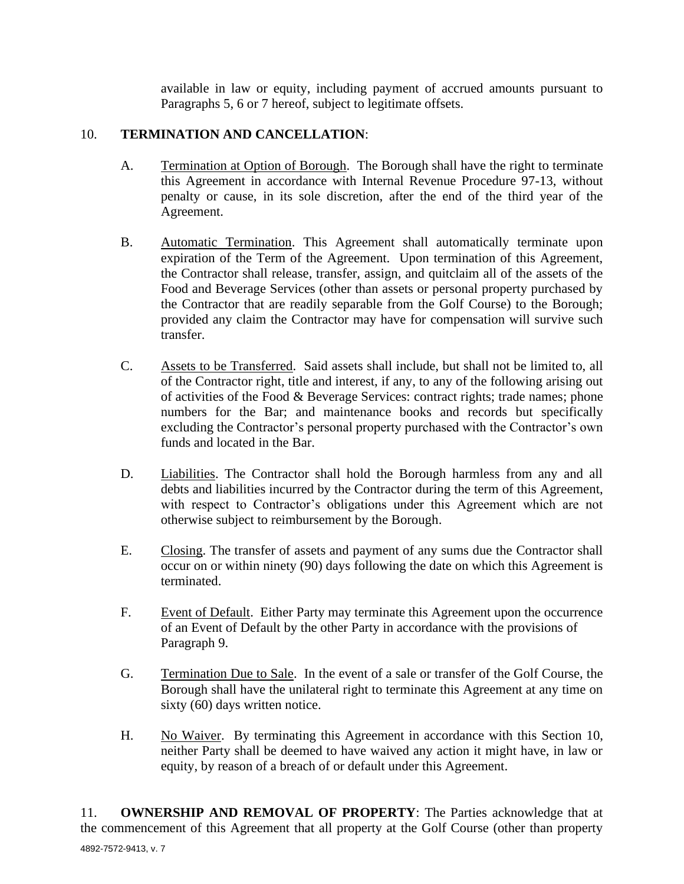available in law or equity, including payment of accrued amounts pursuant to Paragraphs 5, 6 or 7 hereof, subject to legitimate offsets.

### 10. **TERMINATION AND CANCELLATION**:

- A. Termination at Option of Borough. The Borough shall have the right to terminate this Agreement in accordance with Internal Revenue Procedure 97-13, without penalty or cause, in its sole discretion, after the end of the third year of the Agreement.
- B. Automatic Termination. This Agreement shall automatically terminate upon expiration of the Term of the Agreement. Upon termination of this Agreement, the Contractor shall release, transfer, assign, and quitclaim all of the assets of the Food and Beverage Services (other than assets or personal property purchased by the Contractor that are readily separable from the Golf Course) to the Borough; provided any claim the Contractor may have for compensation will survive such transfer.
- C. Assets to be Transferred. Said assets shall include, but shall not be limited to, all of the Contractor right, title and interest, if any, to any of the following arising out of activities of the Food & Beverage Services: contract rights; trade names; phone numbers for the Bar; and maintenance books and records but specifically excluding the Contractor's personal property purchased with the Contractor's own funds and located in the Bar.
- D. Liabilities. The Contractor shall hold the Borough harmless from any and all debts and liabilities incurred by the Contractor during the term of this Agreement, with respect to Contractor's obligations under this Agreement which are not otherwise subject to reimbursement by the Borough.
- E. Closing. The transfer of assets and payment of any sums due the Contractor shall occur on or within ninety (90) days following the date on which this Agreement is terminated.
- F. Event of Default. Either Party may terminate this Agreement upon the occurrence of an Event of Default by the other Party in accordance with the provisions of Paragraph 9.
- G. Termination Due to Sale. In the event of a sale or transfer of the Golf Course, the Borough shall have the unilateral right to terminate this Agreement at any time on sixty (60) days written notice.
- H. No Waiver. By terminating this Agreement in accordance with this Section 10, neither Party shall be deemed to have waived any action it might have, in law or equity, by reason of a breach of or default under this Agreement.

11. **OWNERSHIP AND REMOVAL OF PROPERTY**: The Parties acknowledge that at the commencement of this Agreement that all property at the Golf Course (other than property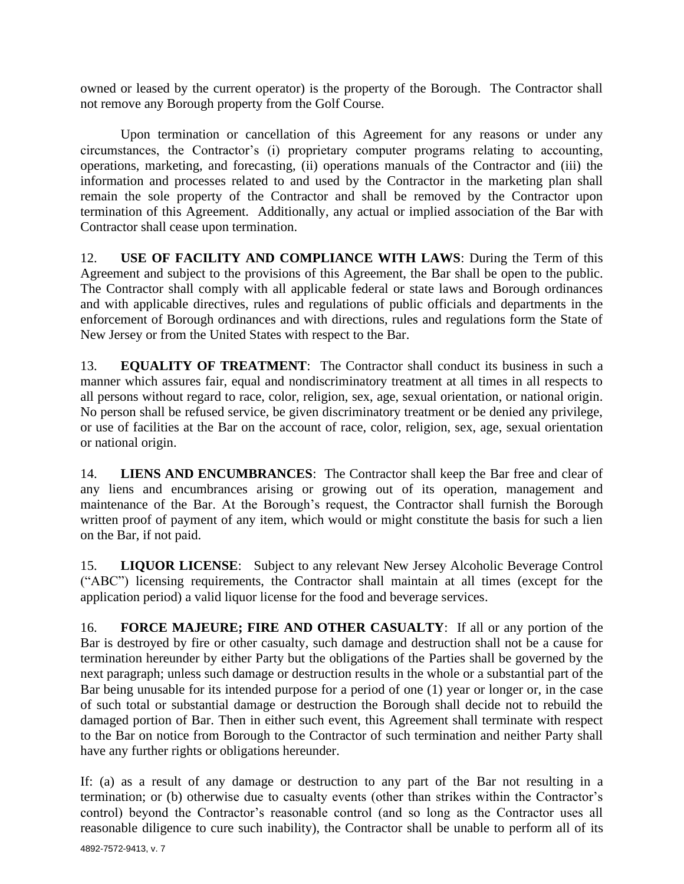owned or leased by the current operator) is the property of the Borough. The Contractor shall not remove any Borough property from the Golf Course.

Upon termination or cancellation of this Agreement for any reasons or under any circumstances, the Contractor's (i) proprietary computer programs relating to accounting, operations, marketing, and forecasting, (ii) operations manuals of the Contractor and (iii) the information and processes related to and used by the Contractor in the marketing plan shall remain the sole property of the Contractor and shall be removed by the Contractor upon termination of this Agreement. Additionally, any actual or implied association of the Bar with Contractor shall cease upon termination.

12. **USE OF FACILITY AND COMPLIANCE WITH LAWS**: During the Term of this Agreement and subject to the provisions of this Agreement, the Bar shall be open to the public. The Contractor shall comply with all applicable federal or state laws and Borough ordinances and with applicable directives, rules and regulations of public officials and departments in the enforcement of Borough ordinances and with directions, rules and regulations form the State of New Jersey or from the United States with respect to the Bar.

13. **EQUALITY OF TREATMENT**: The Contractor shall conduct its business in such a manner which assures fair, equal and nondiscriminatory treatment at all times in all respects to all persons without regard to race, color, religion, sex, age, sexual orientation, or national origin. No person shall be refused service, be given discriminatory treatment or be denied any privilege, or use of facilities at the Bar on the account of race, color, religion, sex, age, sexual orientation or national origin.

14. **LIENS AND ENCUMBRANCES**: The Contractor shall keep the Bar free and clear of any liens and encumbrances arising or growing out of its operation, management and maintenance of the Bar. At the Borough's request, the Contractor shall furnish the Borough written proof of payment of any item, which would or might constitute the basis for such a lien on the Bar, if not paid.

15. **LIQUOR LICENSE**: Subject to any relevant New Jersey Alcoholic Beverage Control ("ABC") licensing requirements, the Contractor shall maintain at all times (except for the application period) a valid liquor license for the food and beverage services.

16. **FORCE MAJEURE; FIRE AND OTHER CASUALTY**: If all or any portion of the Bar is destroyed by fire or other casualty, such damage and destruction shall not be a cause for termination hereunder by either Party but the obligations of the Parties shall be governed by the next paragraph; unless such damage or destruction results in the whole or a substantial part of the Bar being unusable for its intended purpose for a period of one (1) year or longer or, in the case of such total or substantial damage or destruction the Borough shall decide not to rebuild the damaged portion of Bar. Then in either such event, this Agreement shall terminate with respect to the Bar on notice from Borough to the Contractor of such termination and neither Party shall have any further rights or obligations hereunder.

If: (a) as a result of any damage or destruction to any part of the Bar not resulting in a termination; or (b) otherwise due to casualty events (other than strikes within the Contractor's control) beyond the Contractor's reasonable control (and so long as the Contractor uses all reasonable diligence to cure such inability), the Contractor shall be unable to perform all of its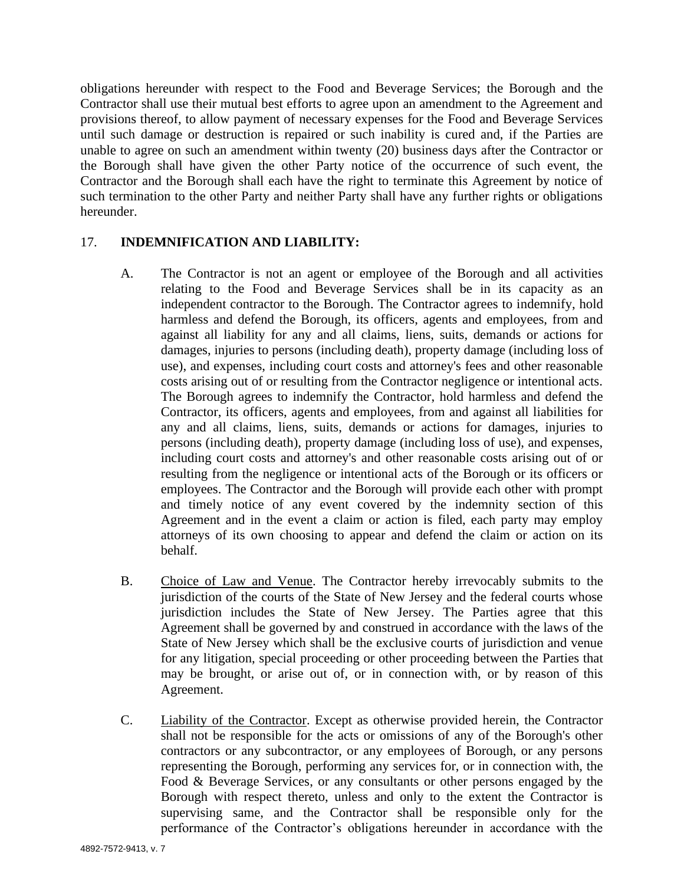obligations hereunder with respect to the Food and Beverage Services; the Borough and the Contractor shall use their mutual best efforts to agree upon an amendment to the Agreement and provisions thereof, to allow payment of necessary expenses for the Food and Beverage Services until such damage or destruction is repaired or such inability is cured and, if the Parties are unable to agree on such an amendment within twenty (20) business days after the Contractor or the Borough shall have given the other Party notice of the occurrence of such event, the Contractor and the Borough shall each have the right to terminate this Agreement by notice of such termination to the other Party and neither Party shall have any further rights or obligations hereunder.

### 17. **INDEMNIFICATION AND LIABILITY:**

- A. The Contractor is not an agent or employee of the Borough and all activities relating to the Food and Beverage Services shall be in its capacity as an independent contractor to the Borough. The Contractor agrees to indemnify, hold harmless and defend the Borough, its officers, agents and employees, from and against all liability for any and all claims, liens, suits, demands or actions for damages, injuries to persons (including death), property damage (including loss of use), and expenses, including court costs and attorney's fees and other reasonable costs arising out of or resulting from the Contractor negligence or intentional acts. The Borough agrees to indemnify the Contractor, hold harmless and defend the Contractor, its officers, agents and employees, from and against all liabilities for any and all claims, liens, suits, demands or actions for damages, injuries to persons (including death), property damage (including loss of use), and expenses, including court costs and attorney's and other reasonable costs arising out of or resulting from the negligence or intentional acts of the Borough or its officers or employees. The Contractor and the Borough will provide each other with prompt and timely notice of any event covered by the indemnity section of this Agreement and in the event a claim or action is filed, each party may employ attorneys of its own choosing to appear and defend the claim or action on its behalf.
- B. Choice of Law and Venue. The Contractor hereby irrevocably submits to the jurisdiction of the courts of the State of New Jersey and the federal courts whose jurisdiction includes the State of New Jersey. The Parties agree that this Agreement shall be governed by and construed in accordance with the laws of the State of New Jersey which shall be the exclusive courts of jurisdiction and venue for any litigation, special proceeding or other proceeding between the Parties that may be brought, or arise out of, or in connection with, or by reason of this Agreement.
- C. Liability of the Contractor. Except as otherwise provided herein, the Contractor shall not be responsible for the acts or omissions of any of the Borough's other contractors or any subcontractor, or any employees of Borough, or any persons representing the Borough, performing any services for, or in connection with, the Food & Beverage Services, or any consultants or other persons engaged by the Borough with respect thereto, unless and only to the extent the Contractor is supervising same, and the Contractor shall be responsible only for the performance of the Contractor's obligations hereunder in accordance with the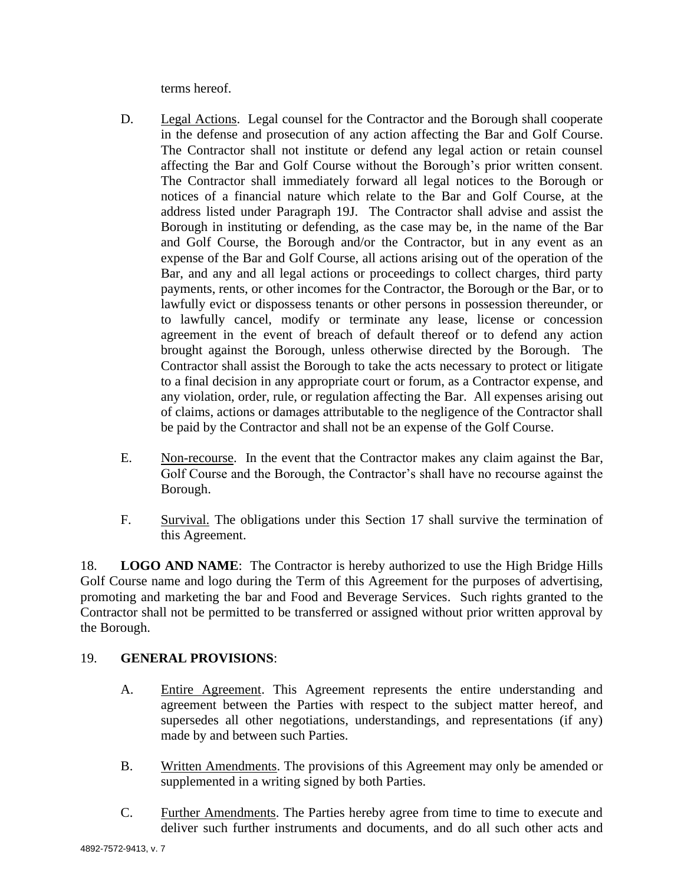terms hereof.

- D. Legal Actions. Legal counsel for the Contractor and the Borough shall cooperate in the defense and prosecution of any action affecting the Bar and Golf Course. The Contractor shall not institute or defend any legal action or retain counsel affecting the Bar and Golf Course without the Borough's prior written consent. The Contractor shall immediately forward all legal notices to the Borough or notices of a financial nature which relate to the Bar and Golf Course, at the address listed under Paragraph 19J. The Contractor shall advise and assist the Borough in instituting or defending, as the case may be, in the name of the Bar and Golf Course, the Borough and/or the Contractor, but in any event as an expense of the Bar and Golf Course, all actions arising out of the operation of the Bar, and any and all legal actions or proceedings to collect charges, third party payments, rents, or other incomes for the Contractor, the Borough or the Bar, or to lawfully evict or dispossess tenants or other persons in possession thereunder, or to lawfully cancel, modify or terminate any lease, license or concession agreement in the event of breach of default thereof or to defend any action brought against the Borough, unless otherwise directed by the Borough. The Contractor shall assist the Borough to take the acts necessary to protect or litigate to a final decision in any appropriate court or forum, as a Contractor expense, and any violation, order, rule, or regulation affecting the Bar. All expenses arising out of claims, actions or damages attributable to the negligence of the Contractor shall be paid by the Contractor and shall not be an expense of the Golf Course.
- E. Non-recourse. In the event that the Contractor makes any claim against the Bar, Golf Course and the Borough, the Contractor's shall have no recourse against the Borough.
- F. Survival. The obligations under this Section 17 shall survive the termination of this Agreement.

18. **LOGO AND NAME**: The Contractor is hereby authorized to use the High Bridge Hills Golf Course name and logo during the Term of this Agreement for the purposes of advertising, promoting and marketing the bar and Food and Beverage Services. Such rights granted to the Contractor shall not be permitted to be transferred or assigned without prior written approval by the Borough.

# 19. **GENERAL PROVISIONS**:

- A. Entire Agreement. This Agreement represents the entire understanding and agreement between the Parties with respect to the subject matter hereof, and supersedes all other negotiations, understandings, and representations (if any) made by and between such Parties.
- B. Written Amendments. The provisions of this Agreement may only be amended or supplemented in a writing signed by both Parties.
- C. Further Amendments. The Parties hereby agree from time to time to execute and deliver such further instruments and documents, and do all such other acts and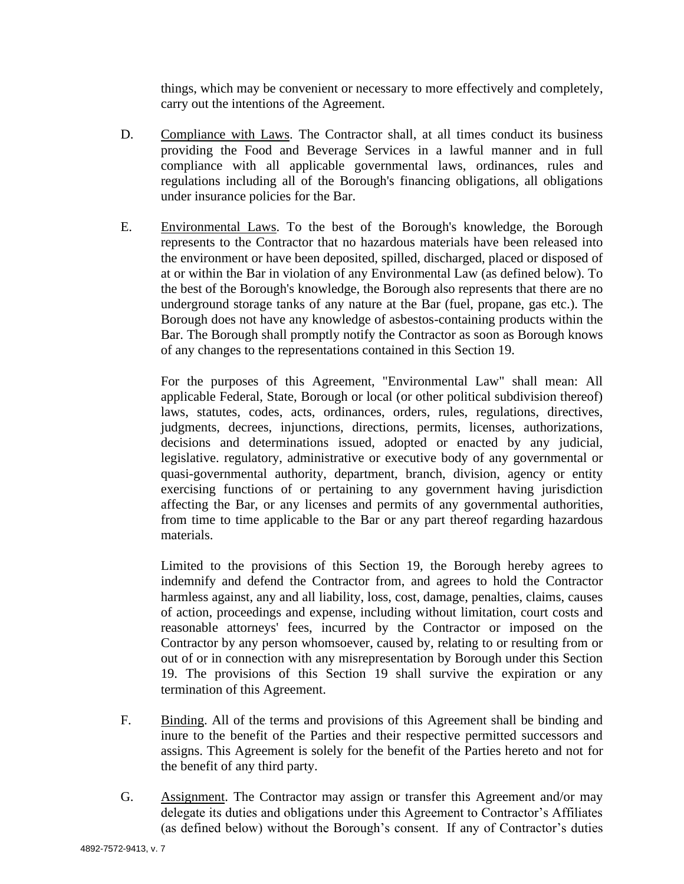things, which may be convenient or necessary to more effectively and completely, carry out the intentions of the Agreement.

- D. Compliance with Laws. The Contractor shall, at all times conduct its business providing the Food and Beverage Services in a lawful manner and in full compliance with all applicable governmental laws, ordinances, rules and regulations including all of the Borough's financing obligations, all obligations under insurance policies for the Bar.
- E. Environmental Laws. To the best of the Borough's knowledge, the Borough represents to the Contractor that no hazardous materials have been released into the environment or have been deposited, spilled, discharged, placed or disposed of at or within the Bar in violation of any Environmental Law (as defined below). To the best of the Borough's knowledge, the Borough also represents that there are no underground storage tanks of any nature at the Bar (fuel, propane, gas etc.). The Borough does not have any knowledge of asbestos-containing products within the Bar. The Borough shall promptly notify the Contractor as soon as Borough knows of any changes to the representations contained in this Section 19.

For the purposes of this Agreement, "Environmental Law" shall mean: All applicable Federal, State, Borough or local (or other political subdivision thereof) laws, statutes, codes, acts, ordinances, orders, rules, regulations, directives, judgments, decrees, injunctions, directions, permits, licenses, authorizations, decisions and determinations issued, adopted or enacted by any judicial, legislative. regulatory, administrative or executive body of any governmental or quasi-governmental authority, department, branch, division, agency or entity exercising functions of or pertaining to any government having jurisdiction affecting the Bar, or any licenses and permits of any governmental authorities, from time to time applicable to the Bar or any part thereof regarding hazardous materials.

Limited to the provisions of this Section 19, the Borough hereby agrees to indemnify and defend the Contractor from, and agrees to hold the Contractor harmless against, any and all liability, loss, cost, damage, penalties, claims, causes of action, proceedings and expense, including without limitation, court costs and reasonable attorneys' fees, incurred by the Contractor or imposed on the Contractor by any person whomsoever, caused by, relating to or resulting from or out of or in connection with any misrepresentation by Borough under this Section 19. The provisions of this Section 19 shall survive the expiration or any termination of this Agreement.

- F. Binding. All of the terms and provisions of this Agreement shall be binding and inure to the benefit of the Parties and their respective permitted successors and assigns. This Agreement is solely for the benefit of the Parties hereto and not for the benefit of any third party.
- G. Assignment. The Contractor may assign or transfer this Agreement and/or may delegate its duties and obligations under this Agreement to Contractor's Affiliates (as defined below) without the Borough's consent. If any of Contractor's duties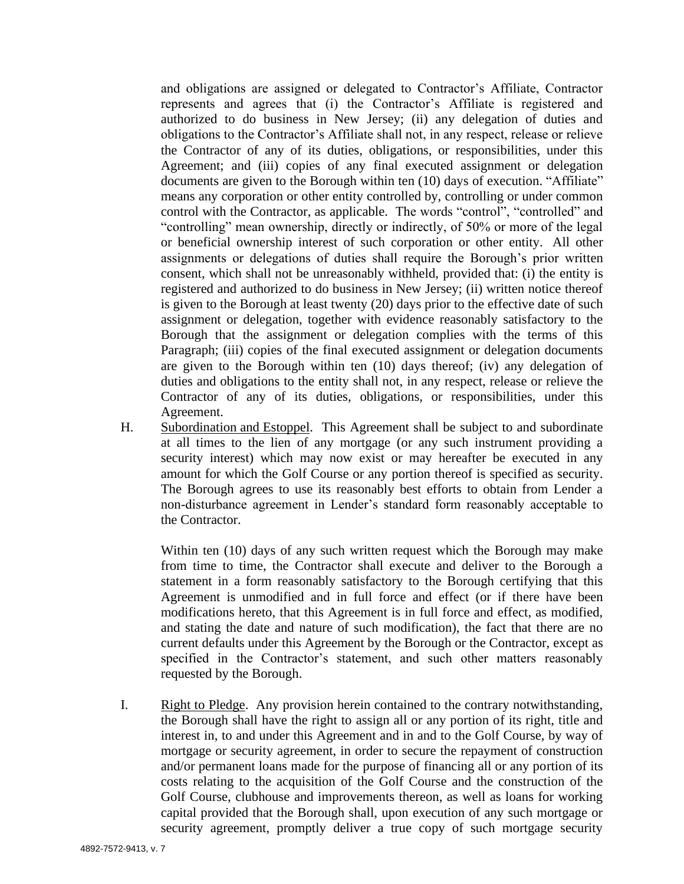and obligations are assigned or delegated to Contractor's Affiliate, Contractor represents and agrees that (i) the Contractor's Affiliate is registered and authorized to do business in New Jersey; (ii) any delegation of duties and obligations to the Contractor's Affiliate shall not, in any respect, release or relieve the Contractor of any of its duties, obligations, or responsibilities, under this Agreement; and (iii) copies of any final executed assignment or delegation documents are given to the Borough within ten (10) days of execution. "Affiliate" means any corporation or other entity controlled by, controlling or under common control with the Contractor, as applicable. The words "control", "controlled" and "controlling" mean ownership, directly or indirectly, of 50% or more of the legal or beneficial ownership interest of such corporation or other entity. All other assignments or delegations of duties shall require the Borough's prior written consent, which shall not be unreasonably withheld, provided that: (i) the entity is registered and authorized to do business in New Jersey; (ii) written notice thereof is given to the Borough at least twenty (20) days prior to the effective date of such assignment or delegation, together with evidence reasonably satisfactory to the Borough that the assignment or delegation complies with the terms of this Paragraph; (iii) copies of the final executed assignment or delegation documents are given to the Borough within ten (10) days thereof; (iv) any delegation of duties and obligations to the entity shall not, in any respect, release or relieve the Contractor of any of its duties, obligations, or responsibilities, under this Agreement.

H. Subordination and Estoppel. This Agreement shall be subject to and subordinate at all times to the lien of any mortgage (or any such instrument providing a security interest) which may now exist or may hereafter be executed in any amount for which the Golf Course or any portion thereof is specified as security. The Borough agrees to use its reasonably best efforts to obtain from Lender a non-disturbance agreement in Lender's standard form reasonably acceptable to the Contractor.

Within ten (10) days of any such written request which the Borough may make from time to time, the Contractor shall execute and deliver to the Borough a statement in a form reasonably satisfactory to the Borough certifying that this Agreement is unmodified and in full force and effect (or if there have been modifications hereto, that this Agreement is in full force and effect, as modified, and stating the date and nature of such modification), the fact that there are no current defaults under this Agreement by the Borough or the Contractor, except as specified in the Contractor's statement, and such other matters reasonably requested by the Borough.

I. Right to Pledge. Any provision herein contained to the contrary notwithstanding, the Borough shall have the right to assign all or any portion of its right, title and interest in, to and under this Agreement and in and to the Golf Course, by way of mortgage or security agreement, in order to secure the repayment of construction and/or permanent loans made for the purpose of financing all or any portion of its costs relating to the acquisition of the Golf Course and the construction of the Golf Course, clubhouse and improvements thereon, as well as loans for working capital provided that the Borough shall, upon execution of any such mortgage or security agreement, promptly deliver a true copy of such mortgage security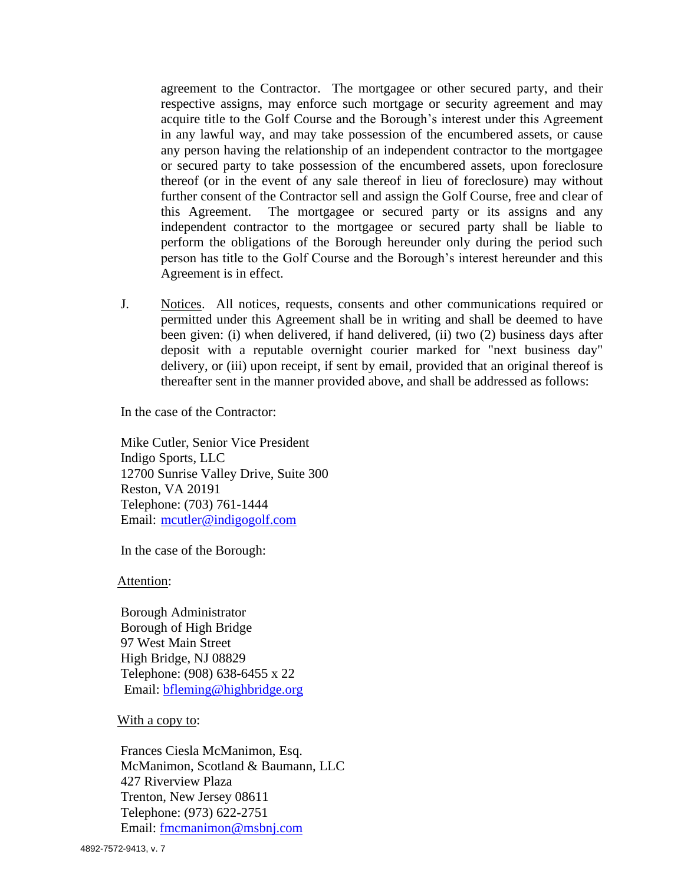agreement to the Contractor. The mortgagee or other secured party, and their respective assigns, may enforce such mortgage or security agreement and may acquire title to the Golf Course and the Borough's interest under this Agreement in any lawful way, and may take possession of the encumbered assets, or cause any person having the relationship of an independent contractor to the mortgagee or secured party to take possession of the encumbered assets, upon foreclosure thereof (or in the event of any sale thereof in lieu of foreclosure) may without further consent of the Contractor sell and assign the Golf Course, free and clear of this Agreement. The mortgagee or secured party or its assigns and any independent contractor to the mortgagee or secured party shall be liable to perform the obligations of the Borough hereunder only during the period such person has title to the Golf Course and the Borough's interest hereunder and this Agreement is in effect.

J. Notices. All notices, requests, consents and other communications required or permitted under this Agreement shall be in writing and shall be deemed to have been given: (i) when delivered, if hand delivered, (ii) two (2) business days after deposit with a reputable overnight courier marked for "next business day" delivery, or (iii) upon receipt, if sent by email, provided that an original thereof is thereafter sent in the manner provided above, and shall be addressed as follows:

In the case of the Contractor:

Mike Cutler, Senior Vice President Indigo Sports, LLC 12700 Sunrise Valley Drive, Suite 300 Reston, VA 20191 Telephone: (703) 761-1444 Email: mcutler@indigogolf.com

In the case of the Borough:

Attention:

 Borough Administrator Borough of High Bridge 97 West Main Street High Bridge, NJ 08829 Telephone: (908) 638-6455 x 22 Email: bfleming@highbridge.org

With a copy to:

 Frances Ciesla McManimon, Esq. McManimon, Scotland & Baumann, LLC 427 Riverview Plaza Trenton, New Jersey 08611 Telephone: (973) 622-2751 Email: fmcmanimon@msbnj.com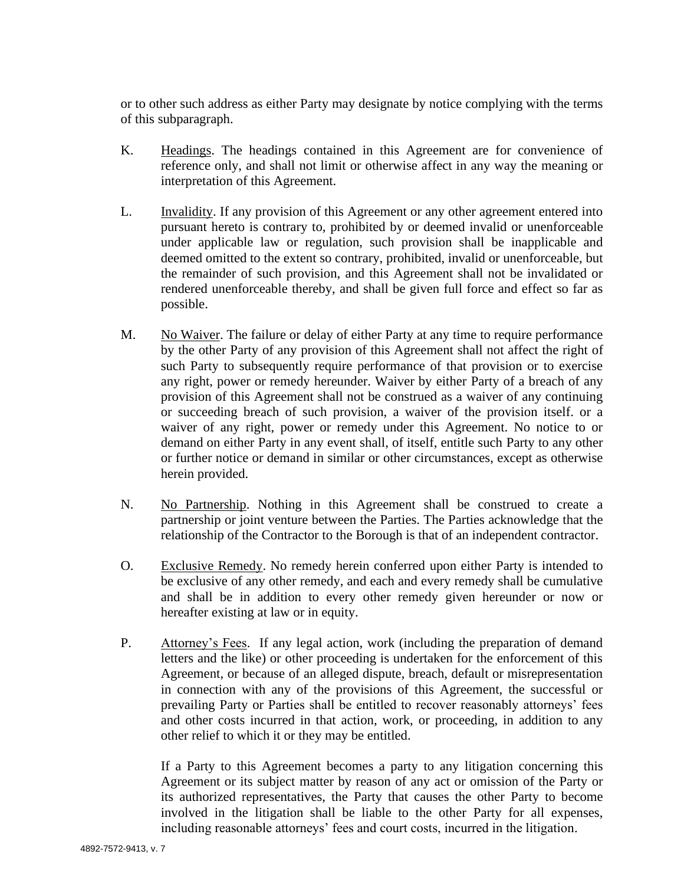or to other such address as either Party may designate by notice complying with the terms of this subparagraph.

- K. Headings. The headings contained in this Agreement are for convenience of reference only, and shall not limit or otherwise affect in any way the meaning or interpretation of this Agreement.
- L. Invalidity. If any provision of this Agreement or any other agreement entered into pursuant hereto is contrary to, prohibited by or deemed invalid or unenforceable under applicable law or regulation, such provision shall be inapplicable and deemed omitted to the extent so contrary, prohibited, invalid or unenforceable, but the remainder of such provision, and this Agreement shall not be invalidated or rendered unenforceable thereby, and shall be given full force and effect so far as possible.
- M. No Waiver. The failure or delay of either Party at any time to require performance by the other Party of any provision of this Agreement shall not affect the right of such Party to subsequently require performance of that provision or to exercise any right, power or remedy hereunder. Waiver by either Party of a breach of any provision of this Agreement shall not be construed as a waiver of any continuing or succeeding breach of such provision, a waiver of the provision itself. or a waiver of any right, power or remedy under this Agreement. No notice to or demand on either Party in any event shall, of itself, entitle such Party to any other or further notice or demand in similar or other circumstances, except as otherwise herein provided.
- N. No Partnership. Nothing in this Agreement shall be construed to create a partnership or joint venture between the Parties. The Parties acknowledge that the relationship of the Contractor to the Borough is that of an independent contractor.
- O. Exclusive Remedy. No remedy herein conferred upon either Party is intended to be exclusive of any other remedy, and each and every remedy shall be cumulative and shall be in addition to every other remedy given hereunder or now or hereafter existing at law or in equity.
- P. Attorney's Fees. If any legal action, work (including the preparation of demand letters and the like) or other proceeding is undertaken for the enforcement of this Agreement, or because of an alleged dispute, breach, default or misrepresentation in connection with any of the provisions of this Agreement, the successful or prevailing Party or Parties shall be entitled to recover reasonably attorneys' fees and other costs incurred in that action, work, or proceeding, in addition to any other relief to which it or they may be entitled.

If a Party to this Agreement becomes a party to any litigation concerning this Agreement or its subject matter by reason of any act or omission of the Party or its authorized representatives, the Party that causes the other Party to become involved in the litigation shall be liable to the other Party for all expenses, including reasonable attorneys' fees and court costs, incurred in the litigation.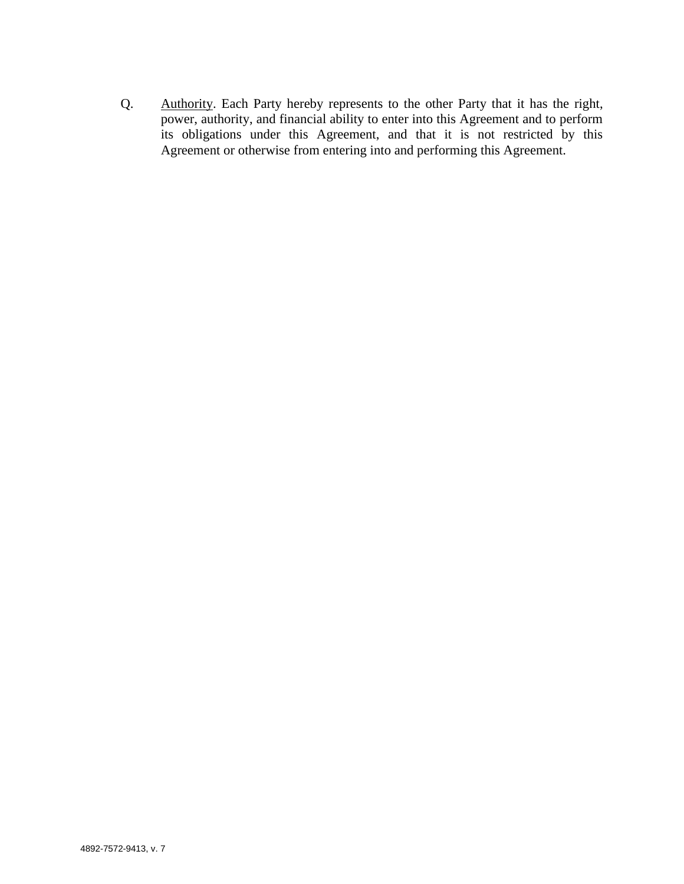Q. Authority. Each Party hereby represents to the other Party that it has the right, power, authority, and financial ability to enter into this Agreement and to perform its obligations under this Agreement, and that it is not restricted by this Agreement or otherwise from entering into and performing this Agreement.